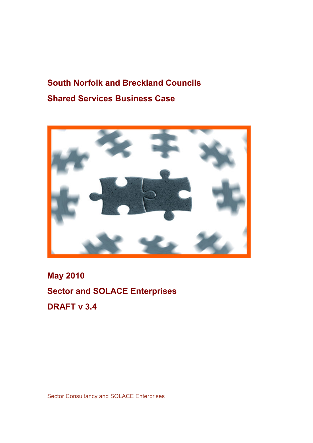# South Norfolk and Breckland Councils Shared Services Business Case



May 2010 Sector and SOLACE Enterprises DRAFT v 3.4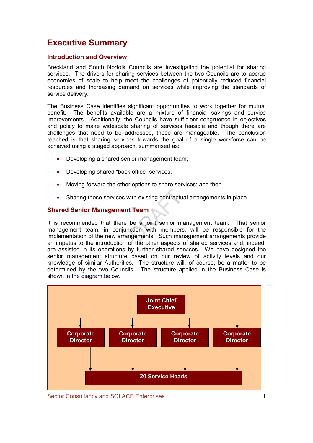## Executive Summary

### Introduction and Overview

Breckland and South Norfolk Councils are investigating the potential for sharing services. The drivers for sharing services between the two Councils are to accrue economies of scale to help meet the challenges of potentially reduced financial resources and Increasing demand on services while improving the standards of service delivery.

The Business Case identifies significant opportunities to work together for mutual benefit. The benefits available are a mixture of financial savings and service improvements. Additionally, the Councils have sufficient congruence in objectives and policy to make widescale sharing of services feasible and though there are challenges that need to be addressed, these are manageable. The conclusion reached is that sharing services towards the goal of a single workforce can be achieved using a staged approach, summarised as:

- Developing a shared senior management team;
- Developing shared "back office" services;
- Moving forward the other options to share services; and then
- Sharing those services with existing contractual arrangements in place.

## Shared Senior Management Team

It is recommended that there be a joint senior management team. That senior management team, in conjunction with members, will be responsible for the implementation of the new arrangements. Such management arrangements provide an impetus to the introduction of the other aspects of shared services and, indeed, are assisted in its operations by further shared services. We have designed the senior management structure based on our review of activity levels and our knowledge of similar Authorities. The structure will, of course, be a matter to be determined by the two Councils. The structure applied in the Business Case is shown in the diagram below.



Sector Consultancy and SOLACE Enterprises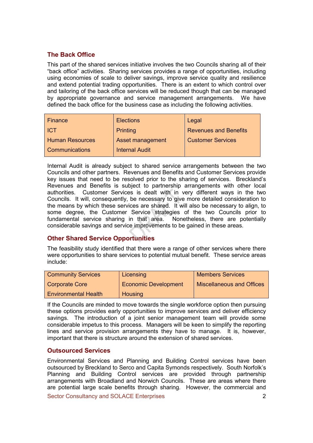## The Back Office

This part of the shared services initiative involves the two Councils sharing all of their "back office" activities. Sharing services provides a range of opportunities, including using economies of scale to deliver savings, improve service quality and resilience and extend potential trading opportunities. There is an extent to which control over and tailoring of the back office services will be reduced though that can be managed by appropriate governance and service management arrangements. We have defined the back office for the business case as including the following activities.

| Finance                | <b>Elections</b>      | Legal                        |
|------------------------|-----------------------|------------------------------|
| <b>ICT</b>             | Printing              | <b>Revenues and Benefits</b> |
| <b>Human Resources</b> | Asset management      | <b>Customer Services</b>     |
| <b>Communications</b>  | <b>Internal Audit</b> |                              |

Internal Audit is already subject to shared service arrangements between the two Councils and other partners. Revenues and Benefits and Customer Services provide key issues that need to be resolved prior to the sharing of services. Breckland's Revenues and Benefits is subject to partnership arrangements with other local authorities. Customer Services is dealt with in very different ways in the two Councils. It will, consequently, be necessary to give more detailed consideration to the means by which these services are shared. It will also be necessary to align, to some degree, the Customer Service strategies of the two Councils prior to fundamental service sharing in that area. Nonetheless, there are potentially considerable savings and service improvements to be gained in these areas.

## Other Shared Service Opportunities

The feasibility study identified that there were a range of other services where there were opportunities to share services to potential mutual benefit. These service areas include:

| <b>Community Services</b>   | Licensing                   | <b>Members Services</b>          |
|-----------------------------|-----------------------------|----------------------------------|
| <b>Corporate Core</b>       | <b>Economic Development</b> | <b>Miscellaneous and Offices</b> |
| <b>Environmental Health</b> | Housing                     |                                  |

If the Councils are minded to move towards the single workforce option then pursuing these options provides early opportunities to improve services and deliver efficiency savings. The introduction of a joint senior management team will provide some considerable impetus to this process. Managers will be keen to simplify the reporting lines and service provision arrangements they have to manage. It is, however, important that there is structure around the extension of shared services.

### Outsourced Services

Environmental Services and Planning and Building Control services have been outsourced by Breckland to Serco and Capita Symonds respectively. South Norfolk's Planning and Building Control services are provided through partnership arrangements with Broadland and Norwich Councils. These are areas where there are potential large scale benefits through sharing. However, the commercial and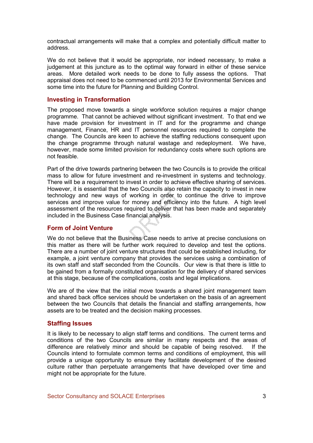contractual arrangements will make that a complex and potentially difficult matter to address.

We do not believe that it would be appropriate, nor indeed necessary, to make a judgement at this juncture as to the optimal way forward in either of these service areas. More detailed work needs to be done to fully assess the options. That appraisal does not need to be commenced until 2013 for Environmental Services and some time into the future for Planning and Building Control.

#### Investing in Transformation

The proposed move towards a single workforce solution requires a major change programme. That cannot be achieved without significant investment. To that end we have made provision for investment in IT and for the programme and change management, Finance, HR and IT personnel resources required to complete the change. The Councils are keen to achieve the staffing reductions consequent upon the change programme through natural wastage and redeployment. We have, however, made some limited provision for redundancy costs where such options are not feasible.

Part of the drive towards partnering between the two Councils is to provide the critical mass to allow for future investment and re-investment in systems and technology. There will be a requirement to invest in order to achieve effective sharing of services. However, it is essential that the two Councils also retain the capacity to invest in new technology and new ways of working in order to continue the drive to improve services and improve value for money and efficiency into the future. A high level assessment of the resources required to deliver that has been made and separately included in the Business Case financial analysis.

#### Form of Joint Venture

We do not believe that the Business Case needs to arrive at precise conclusions on this matter as there will be further work required to develop and test the options. There are a number of joint venture structures that could be established including, for example, a joint venture company that provides the services using a combination of its own staff and staff seconded from the Councils. Our view is that there is little to be gained from a formally constituted organisation for the delivery of shared services at this stage, because of the complications, costs and legal implications.

We are of the view that the initial move towards a shared joint management team and shared back office services should be undertaken on the basis of an agreement between the two Councils that details the financial and staffing arrangements, how assets are to be treated and the decision making processes.

### Staffing Issues

It is likely to be necessary to align staff terms and conditions. The current terms and conditions of the two Councils are similar in many respects and the areas of difference are relatively minor and should be capable of being resolved. If the Councils intend to formulate common terms and conditions of employment, this will provide a unique opportunity to ensure they facilitate development of the desired culture rather than perpetuate arrangements that have developed over time and might not be appropriate for the future.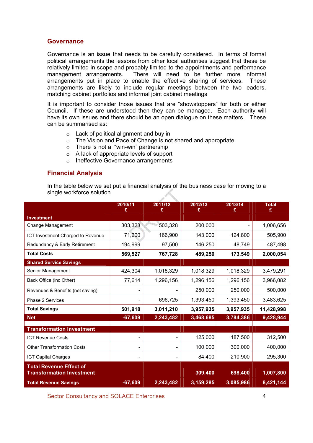#### **Governance**

Governance is an issue that needs to be carefully considered. In terms of formal political arrangements the lessons from other local authorities suggest that these be relatively limited in scope and probably limited to the appointments and performance management arrangements. There will need to be further more informal arrangements put in place to enable the effective sharing of services. These arrangements are likely to include regular meetings between the two leaders, matching cabinet portfolios and informal joint cabinet meetings

It is important to consider those issues that are "showstoppers" for both or either Council. If these are understood then they can be managed. Each authority will have its own issues and there should be an open dialogue on these matters. These can be summarised as:

- o Lack of political alignment and buy in
- o The Vision and Pace of Change is not shared and appropriate
- o There is not a "win-win" partnership
- o A lack of appropriate levels of support
- o Ineffective Governance arrangements

## Financial Analysis

In the table below we set put a financial analysis of the business case for moving to a single workforce solution

|                                   | 2010/11<br>£ | 2011/12<br>£ | 2012/13<br>£ | 2013/14<br>£ | <b>Total</b><br>£ |
|-----------------------------------|--------------|--------------|--------------|--------------|-------------------|
| <b>Investment</b>                 |              |              |              |              |                   |
| Change Management                 | 303,328      | 503,328      | 200,000      |              | 1,006,656         |
| ICT Investment Charged to Revenue | 71,200       | 166,900      | 143,000      | 124,800      | 505,900           |
| Redundancy & Early Retirement     | 194,999      | 97,500       | 146,250      | 48,749       | 487,498           |
| <b>Total Costs</b>                | 569,527      | 767,728      | 489,250      | 173,549      | 2,000,054         |
| <b>Shared Service Savings</b>     |              |              |              |              |                   |
| Senior Management                 | 424,304      | 1,018,329    | 1,018,329    | 1,018,329    | 3,479,291         |
| Back Office (inc Other)           | 77,614       | 1,296,156    | 1,296,156    | 1,296,156    | 3,966,082         |
| Revenues & Benefits (net saving)  |              |              | 250,000      | 250,000      | 500,000           |
| Phase 2 Services                  |              | 696,725      | 1,393,450    | 1,393,450    | 3,483,625         |
| <b>Total Savings</b>              | 501,918      | 3,011,210    | 3,957,935    | 3,957,935    | 11,428,998        |
| <b>Net</b>                        | $-67,609$    | 2,243,482    | 3,468,685    | 3,784,386    | 9,428,944         |
| <b>Transformation Investment</b>  |              |              |              |              |                   |
| <b>ICT Revenue Costs</b>          |              |              | 125,000      | 187,500      | 312,500           |
| <b>Other Transformation Costs</b> |              |              | 100,000      | 300,000      | 400,000           |
| <b>ICT Capital Charges</b>        |              |              | 84,400       | 210,900      | 295,300           |
| <b>Total Revenue Effect of</b>    |              |              |              |              |                   |
| <b>Transformation Investment</b>  |              |              | 309,400      | 698,400      | 1,007,800         |
| <b>Total Revenue Savings</b>      | $-67,609$    | 2,243,482    | 3,159,285    | 3,085,986    | 8,421,144         |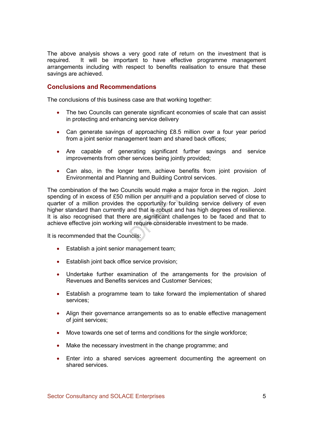The above analysis shows a very good rate of return on the investment that is required. It will be important to have effective programme management arrangements including with respect to benefits realisation to ensure that these savings are achieved.

## Conclusions and Recommendations

The conclusions of this business case are that working together:

- The two Councils can generate significant economies of scale that can assist in protecting and enhancing service delivery
- Can generate savings of approaching £8.5 million over a four year period from a joint senior management team and shared back offices;
- Are capable of generating significant further savings and service improvements from other services being jointly provided;
- Can also, in the longer term, achieve benefits from joint provision of Environmental and Planning and Building Control services.

The combination of the two Councils would make a major force in the region. Joint spending of in excess of £50 million per annum and a population served of close to quarter of a million provides the opportunity for building service delivery of even higher standard than currently and that is robust and has high degrees of resilience. It is also recognised that there are significant challenges to be faced and that to achieve effective join working will require considerable investment to be made.

It is recommended that the Councils:

- Establish a joint senior management team;
- Establish joint back office service provision;
- Undertake further examination of the arrangements for the provision of Revenues and Benefits services and Customer Services;
- Establish a programme team to take forward the implementation of shared services;
- Align their governance arrangements so as to enable effective management of joint services;
- Move towards one set of terms and conditions for the single workforce;
- Make the necessary investment in the change programme; and
- Enter into a shared services agreement documenting the agreement on shared services.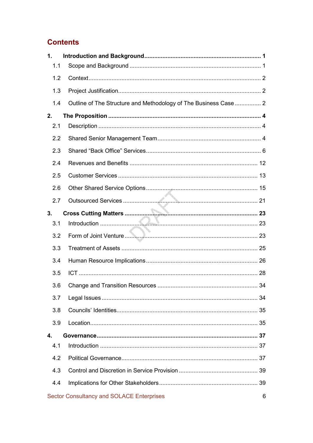## **Contents**

| 1.               |                                                                 |
|------------------|-----------------------------------------------------------------|
| 1.1              |                                                                 |
| 1.2              |                                                                 |
| 1.3              |                                                                 |
| 1.4              | Outline of The Structure and Methodology of The Business Case 2 |
| 2.               |                                                                 |
| 2.1              |                                                                 |
| 2.2              |                                                                 |
| 2.3              |                                                                 |
| 2.4              |                                                                 |
| 2.5              |                                                                 |
| 2.6              |                                                                 |
| 2.7              |                                                                 |
| 3.               |                                                                 |
| 3.1              |                                                                 |
| 3.2              |                                                                 |
| 3.3              |                                                                 |
| 3.4              |                                                                 |
| 3.5              |                                                                 |
| 3.6              |                                                                 |
| 3.7              |                                                                 |
| 3.8              |                                                                 |
| 3.9              |                                                                 |
| $\overline{4}$ . |                                                                 |
| 4.1              |                                                                 |
| 4.2              |                                                                 |
| 4.3              |                                                                 |
| 4.4              |                                                                 |
|                  | <b>Sector Consultancy and SOLACE Enterprises</b><br>6           |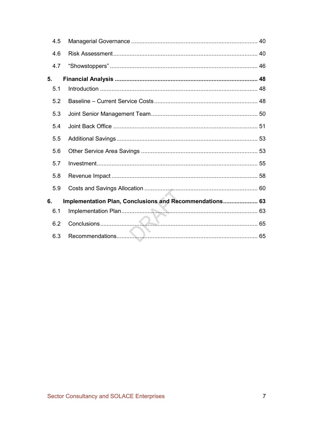| 4.5 |                                                         |  |
|-----|---------------------------------------------------------|--|
| 4.6 |                                                         |  |
| 4.7 |                                                         |  |
| 5.  |                                                         |  |
| 5.1 |                                                         |  |
| 5.2 |                                                         |  |
| 5.3 |                                                         |  |
| 5.4 |                                                         |  |
| 5.5 |                                                         |  |
| 5.6 |                                                         |  |
| 5.7 |                                                         |  |
| 5.8 |                                                         |  |
| 5.9 |                                                         |  |
| 6.  | Implementation Plan, Conclusions and Recommendations 63 |  |
| 6.1 |                                                         |  |
| 6.2 |                                                         |  |
| 6.3 |                                                         |  |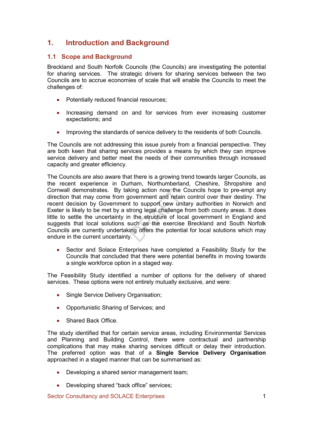## 1. Introduction and Background

## 1.1 Scope and Background

Breckland and South Norfolk Councils (the Councils) are investigating the potential for sharing services. The strategic drivers for sharing services between the two Councils are to accrue economies of scale that will enable the Councils to meet the challenges of:

- Potentially reduced financial resources;
- Increasing demand on and for services from ever increasing customer expectations; and
- Improving the standards of service delivery to the residents of both Councils.

The Councils are not addressing this issue purely from a financial perspective. They are both keen that sharing services provides a means by which they can improve service delivery and better meet the needs of their communities through increased capacity and greater efficiency.

The Councils are also aware that there is a growing trend towards larger Councils, as the recent experience in Durham, Northumberland, Cheshire, Shropshire and Cornwall demonstrates. By taking action now the Councils hope to pre-empt any direction that may come from government and retain control over their destiny. The recent decision by Government to support new unitary authorities in Norwich and Exeter is likely to be met by a strong legal challenge from both county areas. It does little to settle the uncertainty in the structure of local government in England and suggests that local solutions such as the exercise Breckland and South Norfolk Councils are currently undertaking offers the potential for local solutions which may endure in the current uncertainty.

• Sector and Solace Enterprises have completed a Feasibility Study for the Councils that concluded that there were potential benefits in moving towards a single workforce option in a staged way.

The Feasibility Study identified a number of options for the delivery of shared services. These options were not entirely mutually exclusive, and were:

- Single Service Delivery Organisation;
- Opportunistic Sharing of Services; and
- Shared Back Office.

The study identified that for certain service areas, including Environmental Services and Planning and Building Control, there were contractual and partnership complications that may make sharing services difficult or delay their introduction. The preferred option was that of a Single Service Delivery Organisation approached in a staged manner that can be summarised as:

- Developing a shared senior management team;
- Developing shared "back office" services;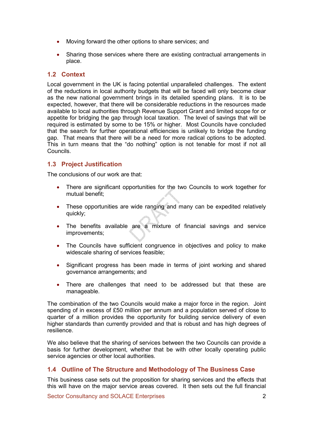- Moving forward the other options to share services; and
- Sharing those services where there are existing contractual arrangements in place.

## 1.2 Context

Local government in the UK is facing potential unparalleled challenges. The extent of the reductions in local authority budgets that will be faced will only become clear as the new national government brings in its detailed spending plans. It is to be expected, however, that there will be considerable reductions in the resources made available to local authorities through Revenue Support Grant and limited scope for or appetite for bridging the gap through local taxation. The level of savings that will be required is estimated by some to be 15% or higher. Most Councils have concluded that the search for further operational efficiencies is unlikely to bridge the funding gap. That means that there will be a need for more radical options to be adopted. This in turn means that the "do nothing" option is not tenable for most if not all **Councils** 

## 1.3 Project Justification

The conclusions of our work are that:

- There are significant opportunities for the two Councils to work together for mutual benefit;
- These opportunities are wide ranging and many can be expedited relatively quickly;
- The benefits available are a mixture of financial savings and service improvements;
- The Councils have sufficient congruence in objectives and policy to make widescale sharing of services feasible;
- Significant progress has been made in terms of joint working and shared governance arrangements; and
- There are challenges that need to be addressed but that these are manageable.

The combination of the two Councils would make a major force in the region. Joint spending of in excess of £50 million per annum and a population served of close to quarter of a million provides the opportunity for building service delivery of even higher standards than currently provided and that is robust and has high degrees of resilience.

We also believe that the sharing of services between the two Councils can provide a basis for further development, whether that be with other locally operating public service agencies or other local authorities.

### 1.4 Outline of The Structure and Methodology of The Business Case

This business case sets out the proposition for sharing services and the effects that this will have on the major service areas covered. It then sets out the full financial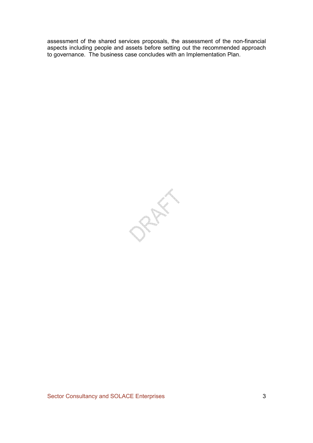assessment of the shared services proposals, the assessment of the non-financial aspects including people and assets before setting out the recommended approach to governance. The business case concludes with an Implementation Plan.

RAFI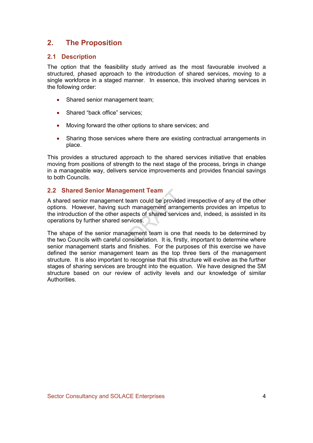## 2. The Proposition

## 2.1 Description

The option that the feasibility study arrived as the most favourable involved a structured, phased approach to the introduction of shared services, moving to a single workforce in a staged manner. In essence, this involved sharing services in the following order:

- Shared senior management team;
- Shared "back office" services:
- Moving forward the other options to share services; and
- Sharing those services where there are existing contractual arrangements in place.

This provides a structured approach to the shared services initiative that enables moving from positions of strength to the next stage of the process, brings in change in a manageable way, delivers service improvements and provides financial savings to both Councils.

## 2.2 Shared Senior Management Team

A shared senior management team could be provided irrespective of any of the other options. However, having such management arrangements provides an impetus to the introduction of the other aspects of shared services and, indeed, is assisted in its operations by further shared services.

The shape of the senior management team is one that needs to be determined by the two Councils with careful consideration. It is, firstly, important to determine where senior management starts and finishes. For the purposes of this exercise we have defined the senior management team as the top three tiers of the management structure. It is also important to recognise that this structure will evolve as the further stages of sharing services are brought into the equation. We have designed the SM structure based on our review of activity levels and our knowledge of similar Authorities.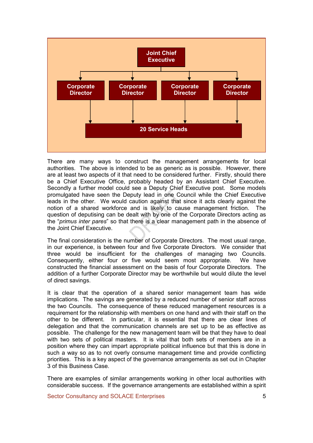

There are many ways to construct the management arrangements for local authorities. The above is intended to be as generic as is possible. However, there are at least two aspects of it that need to be considered further. Firstly, should there be a Chief Executive Office, probably headed by an Assistant Chief Executive. Secondly a further model could see a Deputy Chief Executive post. Some models promulgated have seen the Deputy lead in one Council while the Chief Executive leads in the other. We would caution against that since it acts clearly against the notion of a shared workforce and is likely to cause management friction. The question of deputising can be dealt with by one of the Corporate Directors acting as the "primus inter pares" so that there is a clear management path in the absence of the Joint Chief Executive.

The final consideration is the number of Corporate Directors. The most usual range, in our experience, is between four and five Corporate Directors. We consider that three would be insufficient for the challenges of managing two Councils. Consequently, either four or five would seem most appropriate. We have constructed the financial assessment on the basis of four Corporate Directors. The addition of a further Corporate Director may be worthwhile but would dilute the level of direct savings.

It is clear that the operation of a shared senior management team has wide implications. The savings are generated by a reduced number of senior staff across the two Councils. The consequence of these reduced management resources is a requirement for the relationship with members on one hand and with their staff on the other to be different. In particular, it is essential that there are clear lines of delegation and that the communication channels are set up to be as effective as possible. The challenge for the new management team will be that they have to deal with two sets of political masters. It is vital that both sets of members are in a position where they can impart appropriate political influence but that this is done in such a way so as to not overly consume management time and provide conflicting priorities. This is a key aspect of the governance arrangements as set out in Chapter 3 of this Business Case.

There are examples of similar arrangements working in other local authorities with considerable success. If the governance arrangements are established within a spirit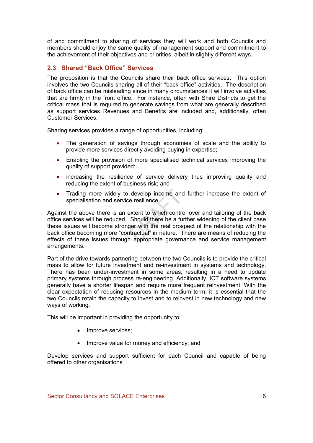of and commitment to sharing of services they will work and both Councils and members should enjoy the same quality of management support and commitment to the achievement of their objectives and priorities, albeit in slightly different ways.

## 2.3 Shared "Back Office" Services

The proposition is that the Councils share their back office services. This option involves the two Councils sharing all of their "back office" activities. The description of back office can be misleading since in many circumstances it will involve activities that are firmly in the front office. For instance, often with Shire Districts to get the critical mass that is required to generate savings from what are generally described as support services Revenues and Benefits are included and, additionally, often Customer Services.

Sharing services provides a range of opportunities, including:

- The generation of savings through economies of scale and the ability to provide more services directly avoiding buying in expertise;
- Enabling the provision of more specialised technical services improving the quality of support provided;
- increasing the resilience of service delivery thus improving quality and reducing the extent of business risk; and
- Trading more widely to develop income and further increase the extent of specialisation and service resilience.

Against the above there is an extent to which control over and tailoring of the back office services will be reduced. Should there be a further widening of the client base these issues will become stronger with the real prospect of the relationship with the back office becoming more "contractual" in nature. There are means of reducing the effects of these issues through appropriate governance and service management arrangements.

Part of the drive towards partnering between the two Councils is to provide the critical mass to allow for future investment and re-investment in systems and technology. There has been under-investment in some areas, resulting in a need to update primary systems through process re-engineering. Additionally, ICT software systems generally have a shorter lifespan and require more frequent reinvestment. With the clear expectation of reducing resources in the medium term, it is essential that the two Councils retain the capacity to invest and to reinvest in new technology and new ways of working.

This will be important in providing the opportunity to:

- Improve services;
- Improve value for money and efficiency; and

Develop services and support sufficient for each Council and capable of being offered to other organisations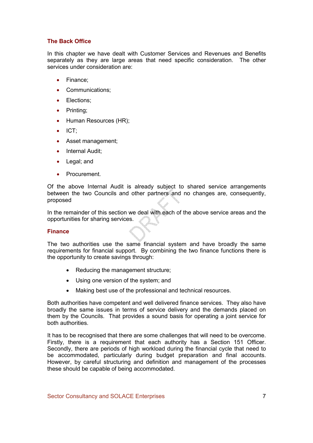### The Back Office

In this chapter we have dealt with Customer Services and Revenues and Benefits separately as they are large areas that need specific consideration. The other services under consideration are:

- Finance;
- Communications;
- Elections;
- Printing;
- Human Resources (HR);
- ICT;
- Asset management;
- Internal Audit:
- Legal; and
- Procurement.

Of the above Internal Audit is already subject to shared service arrangements between the two Councils and other partners and no changes are, consequently, proposed

In the remainder of this section we deal with each of the above service areas and the opportunities for sharing services.

### **Finance**

The two authorities use the same financial system and have broadly the same requirements for financial support. By combining the two finance functions there is the opportunity to create savings through:

- Reducing the management structure;
- Using one version of the system; and
- Making best use of the professional and technical resources.

Both authorities have competent and well delivered finance services. They also have broadly the same issues in terms of service delivery and the demands placed on them by the Councils. That provides a sound basis for operating a joint service for both authorities.

It has to be recognised that there are some challenges that will need to be overcome. Firstly, there is a requirement that each authority has a Section 151 Officer. Secondly, there are periods of high workload during the financial cycle that need to be accommodated, particularly during budget preparation and final accounts. However, by careful structuring and definition and management of the processes these should be capable of being accommodated.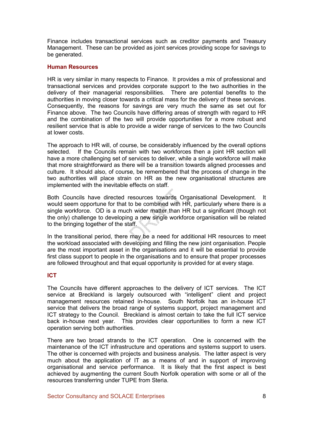Finance includes transactional services such as creditor payments and Treasury Management. These can be provided as joint services providing scope for savings to be generated.

#### Human Resources

HR is very similar in many respects to Finance. It provides a mix of professional and transactional services and provides corporate support to the two authorities in the delivery of their managerial responsibilities. There are potential benefits to the authorities in moving closer towards a critical mass for the delivery of these services. Consequently, the reasons for savings are very much the same as set out for Finance above. The two Councils have differing areas of strength with regard to HR and the combination of the two will provide opportunities for a more robust and resilient service that is able to provide a wider range of services to the two Councils at lower costs.

The approach to HR will, of course, be considerably influenced by the overall options selected. If the Councils remain with two workforces then a joint HR section will have a more challenging set of services to deliver, while a single workforce will make that more straightforward as there will be a transition towards aligned processes and culture. It should also, of course, be remembered that the process of change in the two authorities will place strain on HR as the new organisational structures are implemented with the inevitable effects on staff.

Both Councils have directed resources towards Organisational Development. It would seem opportune for that to be combined with HR, particularly where there is a single workforce. OD is a much wider matter than HR but a significant (though not the only) challenge to developing a new single workforce organisation will be related to the bringing together of the staff.

In the transitional period, there may be a need for additional HR resources to meet the workload associated with developing and filling the new joint organisation. People are the most important asset in the organisations and it will be essential to provide first class support to people in the organisations and to ensure that proper processes are followed throughout and that equal opportunity is provided for at every stage.

### ICT

The Councils have different approaches to the delivery of ICT services. The ICT service at Breckland is largely outsourced with "intelligent" client and project management resources retained in-house. South Norfolk has an in-house ICT service that delivers the broad range of systems support, project management and ICT strategy to the Council. Breckland is almost certain to take the full ICT service back in-house next year. This provides clear opportunities to form a new ICT operation serving both authorities.

There are two broad strands to the ICT operation. One is concerned with the maintenance of the ICT infrastructure and operations and systems support to users. The other is concerned with projects and business analysis. The latter aspect is very much about the application of IT as a means of and in support of improving organisational and service performance. It is likely that the first aspect is best achieved by augmenting the current South Norfolk operation with some or all of the resources transferring under TUPE from Steria.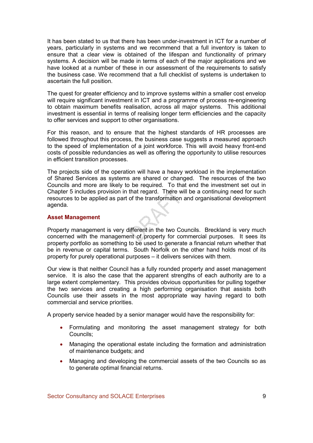It has been stated to us that there has been under-investment in ICT for a number of years, particularly in systems and we recommend that a full inventory is taken to ensure that a clear view is obtained of the lifespan and functionality of primary systems. A decision will be made in terms of each of the major applications and we have looked at a number of these in our assessment of the requirements to satisfy the business case. We recommend that a full checklist of systems is undertaken to ascertain the full position.

The quest for greater efficiency and to improve systems within a smaller cost envelop will require significant investment in ICT and a programme of process re-engineering to obtain maximum benefits realisation, across all major systems. This additional investment is essential in terms of realising longer term efficiencies and the capacity to offer services and support to other organisations.

For this reason, and to ensure that the highest standards of HR processes are followed throughout this process, the business case suggests a measured approach to the speed of implementation of a joint workforce. This will avoid heavy front-end costs of possible redundancies as well as offering the opportunity to utilise resources in efficient transition processes.

The projects side of the operation will have a heavy workload in the implementation of Shared Services as systems are shared or changed. The resources of the two Councils and more are likely to be required. To that end the investment set out in Chapter 5 includes provision in that regard. There will be a continuing need for such resources to be applied as part of the transformation and organisational development agenda.

#### Asset Management

Property management is very different in the two Councils. Breckland is very much concerned with the management of property for commercial purposes. It sees its property portfolio as something to be used to generate a financial return whether that be in revenue or capital terms. South Norfolk on the other hand holds most of its property for purely operational purposes – it delivers services with them.

Our view is that neither Council has a fully rounded property and asset management service. It is also the case that the apparent strengths of each authority are to a large extent complementary. This provides obvious opportunities for pulling together the two services and creating a high performing organisation that assists both Councils use their assets in the most appropriate way having regard to both commercial and service priorities.

A property service headed by a senior manager would have the responsibility for:

- Formulating and monitoring the asset management strategy for both Councils;
- Managing the operational estate including the formation and administration of maintenance budgets; and
- Managing and developing the commercial assets of the two Councils so as to generate optimal financial returns.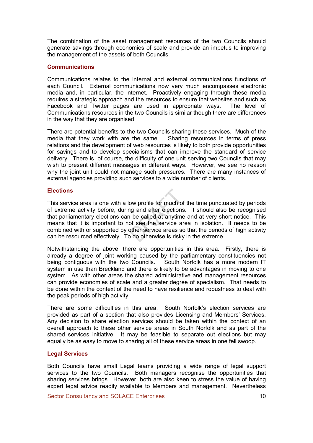The combination of the asset management resources of the two Councils should generate savings through economies of scale and provide an impetus to improving the management of the assets of both Councils.

#### **Communications**

Communications relates to the internal and external communications functions of each Council. External communications now very much encompasses electronic media and, in particular, the internet. Proactively engaging through these media requires a strategic approach and the resources to ensure that websites and such as Facebook and Twitter pages are used in appropriate ways. The level of Communications resources in the two Councils is similar though there are differences in the way that they are organised.

There are potential benefits to the two Councils sharing these services. Much of the media that they work with are the same. Sharing resources in terms of press relations and the development of web resources is likely to both provide opportunities for savings and to develop specialisms that can improve the standard of service delivery. There is, of course, the difficulty of one unit serving two Councils that may wish to present different messages in different ways. However, we see no reason why the joint unit could not manage such pressures. There are many instances of external agencies providing such services to a wide number of clients.

#### **Elections**

This service area is one with a low profile for much of the time punctuated by periods of extreme activity before, during and after elections. It should also be recognised that parliamentary elections can be called at anytime and at very short notice. This means that it is important to not see the service area in isolation. It needs to be combined with or supported by other service areas so that the periods of high activity can be resourced effectively. To do otherwise is risky in the extreme.

Notwithstanding the above, there are opportunities in this area. Firstly, there is already a degree of joint working caused by the parliamentary constituencies not being contiguous with the two Councils. South Norfolk has a more modern IT system in use than Breckland and there is likely to be advantages in moving to one system. As with other areas the shared administrative and management resources can provide economies of scale and a greater degree of specialism. That needs to be done within the context of the need to have resilience and robustness to deal with the peak periods of high activity.

There are some difficulties in this area. South Norfolk's election services are provided as part of a section that also provides Licensing and Members' Services. Any decision to share election services should be taken within the context of an overall approach to these other service areas in South Norfolk and as part of the shared services initiative. It may be feasible to separate out elections but may equally be as easy to move to sharing all of these service areas in one fell swoop.

#### Legal Services

Both Councils have small Legal teams providing a wide range of legal support services to the two Councils. Both managers recognise the opportunities that sharing services brings. However, both are also keen to stress the value of having expert legal advice readily available to Members and management. Nevertheless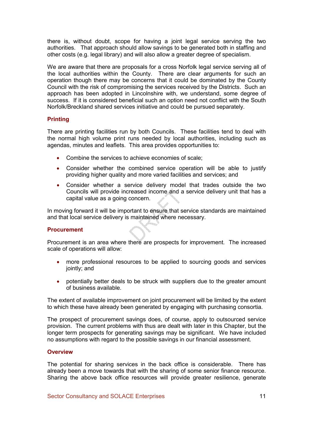there is, without doubt, scope for having a joint legal service serving the two authorities. That approach should allow savings to be generated both in staffing and other costs (e.g. legal library) and will also allow a greater degree of specialism.

We are aware that there are proposals for a cross Norfolk legal service serving all of the local authorities within the County. There are clear arguments for such an operation though there may be concerns that it could be dominated by the County Council with the risk of compromising the services received by the Districts. Such an approach has been adopted in Lincolnshire with, we understand, some degree of success. If it is considered beneficial such an option need not conflict with the South Norfolk/Breckland shared services initiative and could be pursued separately.

### **Printing**

There are printing facilities run by both Councils. These facilities tend to deal with the normal high volume print runs needed by local authorities, including such as agendas, minutes and leaflets. This area provides opportunities to:

- Combine the services to achieve economies of scale;
- Consider whether the combined service operation will be able to justify providing higher quality and more varied facilities and services; and
- Consider whether a service delivery model that trades outside the two Councils will provide increased income and a service delivery unit that has a capital value as a going concern.

In moving forward it will be important to ensure that service standards are maintained and that local service delivery is maintained where necessary.

#### **Procurement**

Procurement is an area where there are prospects for improvement. The increased scale of operations will allow:

- more professional resources to be applied to sourcing goods and services jointly; and
- potentially better deals to be struck with suppliers due to the greater amount of business available.

The extent of available improvement on joint procurement will be limited by the extent to which these have already been generated by engaging with purchasing consortia.

The prospect of procurement savings does, of course, apply to outsourced service provision. The current problems with thus are dealt with later in this Chapter, but the longer term prospects for generating savings may be significant. We have included no assumptions with regard to the possible savings in our financial assessment.

#### **Overview**

The potential for sharing services in the back office is considerable. There has already been a move towards that with the sharing of some senior finance resource. Sharing the above back office resources will provide greater resilience, generate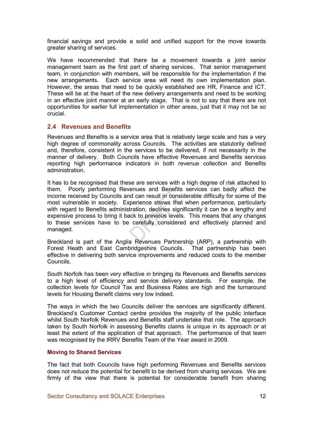financial savings and provide a solid and unified support for the move towards greater sharing of services.

We have recommended that there be a movement towards a joint senior management team as the first part of sharing services. That senior management team, in conjunction with members, will be responsible for the implementation if the new arrangements. Each service area will need its own implementation plan. However, the areas that need to be quickly established are HR, Finance and ICT. These will be at the heart of the new delivery arrangements and need to be working in an effective joint manner at an early stage. That is not to say that there are not opportunities for earlier full implementation in other areas, just that it may not be so crucial.

### 2.4 Revenues and Benefits

Revenues and Benefits is a service area that is relatively large scale and has a very high degree of commonality across Councils. The activities are statutorily defined and, therefore, consistent in the services to be delivered, if not necessarily in the manner of delivery. Both Councils have effective Revenues and Benefits services reporting high performance indicators in both revenue collection and Benefits administration.

It has to be recognised that these are services with a high degree of risk attached to them. Poorly performing Revenues and Benefits services can badly affect the income received by Councils and can result in considerable difficulty for some of the most vulnerable in society. Experience shows that when performance, particularly with regard to Benefits administration, declines significantly it can be a lengthy and expensive process to bring it back to previous levels. This means that any changes to these services have to be carefully considered and effectively planned and managed.

Breckland is part of the Anglia Revenues Partnership (ARP), a partnership with Forest Heath and East Cambridgeshire Councils. That partnership has been effective in delivering both service improvements and reduced costs to the member Councils.

South Norfolk has been very effective in bringing its Revenues and Benefits services to a high level of efficiency and service delivery standards. For example, the collection levels for Council Tax and Business Rates are high and the turnaround levels for Housing Benefit claims very low indeed.

The ways in which the two Councils deliver the services are significantly different. Breckland's Customer Contact centre provides the majority of the public interface whilst South Norfolk Revenues and Benefits staff undertake that role. The approach taken by South Norfolk in assessing Benefits claims is unique in its approach or at least the extent of the application of that approach. The performance of that team was recognised by the IRRV Benefits Team of the Year award in 2009.

### Moving to Shared Services

The fact that both Councils have high performing Revenues and Benefits services does not reduce the potential for benefit to be derived from sharing services. We are firmly of the view that there is potential for considerable benefit from sharing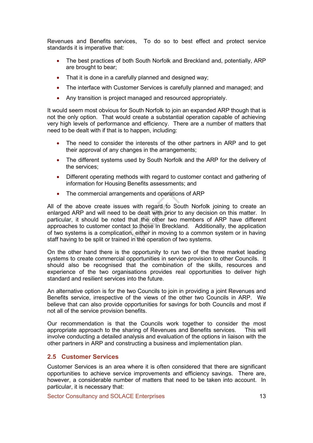Revenues and Benefits services, To do so to best effect and protect service standards it is imperative that:

- The best practices of both South Norfolk and Breckland and, potentially, ARP are brought to bear;
- That it is done in a carefully planned and designed way;
- The interface with Customer Services is carefully planned and managed; and
- Any transition is project managed and resourced appropriately.

It would seem most obvious for South Norfolk to join an expanded ARP though that is not the only option. That would create a substantial operation capable of achieving very high levels of performance and efficiency. There are a number of matters that need to be dealt with if that is to happen, including:

- The need to consider the interests of the other partners in ARP and to get their approval of any changes in the arrangements;
- The different systems used by South Norfolk and the ARP for the delivery of the services;
- Different operating methods with regard to customer contact and gathering of information for Housing Benefits assessments; and
- The commercial arrangements and operations of ARP

All of the above create issues with regard to South Norfolk joining to create an enlarged ARP and will need to be dealt with prior to any decision on this matter. In particular, it should be noted that the other two members of ARP have different approaches to customer contact to those in Breckland. Additionally, the application of two systems is a complication, either in moving to a common system or in having staff having to be split or trained in the operation of two systems.

On the other hand there is the opportunity to run two of the three market leading systems to create commercial opportunities in service provision to other Councils. It should also be recognised that the combination of the skills, resources and experience of the two organisations provides real opportunities to deliver high standard and resilient services into the future.

An alternative option is for the two Councils to join in providing a joint Revenues and Benefits service, irrespective of the views of the other two Councils in ARP. We believe that can also provide opportunities for savings for both Councils and most if not all of the service provision benefits.

Our recommendation is that the Councils work together to consider the most appropriate approach to the sharing of Revenues and Benefits services. This will involve conducting a detailed analysis and evaluation of the options in liaison with the other partners in ARP and constructing a business and implementation plan.

### 2.5 Customer Services

Customer Services is an area where it is often considered that there are significant opportunities to achieve service improvements and efficiency savings. There are, however, a considerable number of matters that need to be taken into account. In particular, it is necessary that: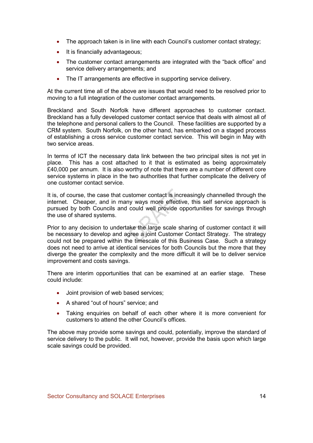- The approach taken is in line with each Council's customer contact strategy;
- It is financially advantageous;
- The customer contact arrangements are integrated with the "back office" and service delivery arrangements; and
- The IT arrangements are effective in supporting service delivery.

At the current time all of the above are issues that would need to be resolved prior to moving to a full integration of the customer contact arrangements.

Breckland and South Norfolk have different approaches to customer contact. Breckland has a fully developed customer contact service that deals with almost all of the telephone and personal callers to the Council. These facilities are supported by a CRM system. South Norfolk, on the other hand, has embarked on a staged process of establishing a cross service customer contact service. This will begin in May with two service areas.

In terms of ICT the necessary data link between the two principal sites is not yet in place. This has a cost attached to it that is estimated as being approximately £40,000 per annum. It is also worthy of note that there are a number of different core service systems in place in the two authorities that further complicate the delivery of one customer contact service.

It is, of course, the case that customer contact is increasingly channelled through the internet. Cheaper, and in many ways more effective, this self service approach is pursued by both Councils and could well provide opportunities for savings through the use of shared systems.

Prior to any decision to undertake the large scale sharing of customer contact it will be necessary to develop and agree a joint Customer Contact Strategy. The strategy could not be prepared within the timescale of this Business Case. Such a strategy does not need to arrive at identical services for both Councils but the more that they diverge the greater the complexity and the more difficult it will be to deliver service improvement and costs savings.

There are interim opportunities that can be examined at an earlier stage. These could include:

- Joint provision of web based services:
- A shared "out of hours" service; and
- Taking enquiries on behalf of each other where it is more convenient for customers to attend the other Council's offices.

The above may provide some savings and could, potentially, improve the standard of service delivery to the public. It will not, however, provide the basis upon which large scale savings could be provided.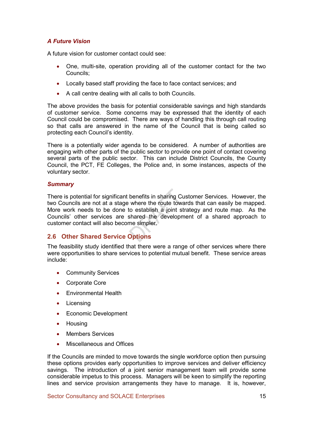## A Future Vision

A future vision for customer contact could see:

- One, multi-site, operation providing all of the customer contact for the two Councils;
- Locally based staff providing the face to face contact services; and
- A call centre dealing with all calls to both Councils.

The above provides the basis for potential considerable savings and high standards of customer service. Some concerns may be expressed that the identity of each Council could be compromised. There are ways of handling this through call routing so that calls are answered in the name of the Council that is being called so protecting each Council's identity.

There is a potentially wider agenda to be considered. A number of authorities are engaging with other parts of the public sector to provide one point of contact covering several parts of the public sector. This can include District Councils, the County Council, the PCT, FE Colleges, the Police and, in some instances, aspects of the voluntary sector.

#### **Summary**

There is potential for significant benefits in sharing Customer Services. However, the two Councils are not at a stage where the route towards that can easily be mapped. More work needs to be done to establish a joint strategy and route map. As the Councils' other services are shared the development of a shared approach to customer contact will also become simpler.

## 2.6 Other Shared Service Options

The feasibility study identified that there were a range of other services where there were opportunities to share services to potential mutual benefit. These service areas include:

- Community Services
- Corporate Core
- Environmental Health
- Licensing
- Economic Development
- Housing
- Members Services
- Miscellaneous and Offices

If the Councils are minded to move towards the single workforce option then pursuing these options provides early opportunities to improve services and deliver efficiency savings. The introduction of a joint senior management team will provide some considerable impetus to this process. Managers will be keen to simplify the reporting lines and service provision arrangements they have to manage. It is, however,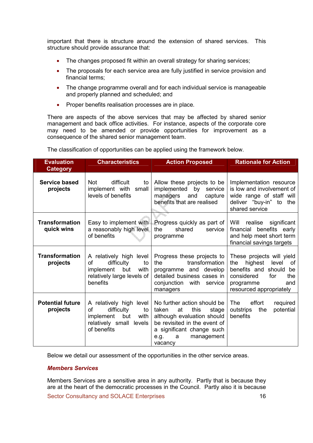important that there is structure around the extension of shared services. This structure should provide assurance that:

- The changes proposed fit within an overall strategy for sharing services;
- The proposals for each service area are fully justified in service provision and financial terms;
- The change programme overall and for each individual service is manageable and properly planned and scheduled; and
- Proper benefits realisation processes are in place.

There are aspects of the above services that may be affected by shared senior management and back office activities. For instance, aspects of the corporate core may need to be amended or provide opportunities for improvement as a consequence of the shared senior management team.

The classification of opportunities can be applied using the framework below.

| <b>Evaluation</b><br><b>Category</b> | <b>Characteristics</b>                                                                                                  | <b>Action Proposed</b>                                                                                                                                                                       | <b>Rationale for Action</b>                                                                                                                                        |
|--------------------------------------|-------------------------------------------------------------------------------------------------------------------------|----------------------------------------------------------------------------------------------------------------------------------------------------------------------------------------------|--------------------------------------------------------------------------------------------------------------------------------------------------------------------|
| <b>Service based</b><br>projects     | difficult<br>Not<br>to<br>implement with<br>small<br>levels of benefits                                                 | Allow these projects to be<br>implemented<br>by<br>service<br>and<br>capture<br>managers<br>benefits that are realised                                                                       | Implementation resource<br>is low and involvement of<br>wide range of staff will<br>deliver "buy-in" to the<br>shared service                                      |
| <b>Transformation</b><br>quick wins  | Easy to implement with<br>a reasonably high level<br>of benefits                                                        | Progress quickly as part of  <br>shared<br>the<br>service<br>programme                                                                                                                       | Will realise significant<br>financial benefits early<br>and help meet short term<br>financial savings targets                                                      |
| <b>Transformation</b><br>projects    | A relatively high level<br>difficulty<br>οf<br>to<br>implement<br>but<br>with<br>relatively large levels of<br>benefits | Progress these projects to<br>transformation<br>the<br>programme and develop<br>detailed business cases in<br>conjunction with service<br>managers                                           | These projects will yield<br>highest<br>level<br>the<br>0f<br>benefits and should<br>be<br>considered<br>for<br>the<br>and<br>programme<br>resourced appropriately |
| <b>Potential future</b><br>projects  | A relatively high level<br>difficulty<br>of<br>to<br>implement<br>but<br>with<br>relatively small levels<br>of benefits | No further action should be<br>taken<br>at<br>this<br>stage<br>although evaluation should<br>be revisited in the event of<br>a significant change such<br>management<br>e.g.<br>a<br>vacancy | effort<br><b>The</b><br>required<br>potential<br>outstrips<br>the<br>benefits                                                                                      |

Below we detail our assessment of the opportunities in the other service areas.

#### Members Services

Sector Consultancy and SOLACE Enterprises 16 Members Services are a sensitive area in any authority. Partly that is because they are at the heart of the democratic processes in the Council. Partly also it is because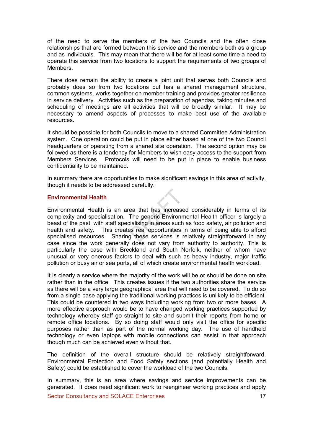of the need to serve the members of the two Councils and the often close relationships that are formed between this service and the members both as a group and as individuals. This may mean that there will be for at least some time a need to operate this service from two locations to support the requirements of two groups of **Members** 

There does remain the ability to create a joint unit that serves both Councils and probably does so from two locations but has a shared management structure, common systems, works together on member training and provides greater resilience in service delivery. Activities such as the preparation of agendas, taking minutes and scheduling of meetings are all activities that will be broadly similar. It may be necessary to amend aspects of processes to make best use of the available resources.

It should be possible for both Councils to move to a shared Committee Administration system. One operation could be put in place either based at one of the two Council headquarters or operating from a shared site operation. The second option may be followed as there is a tendency for Members to wish easy access to the support from Members Services. Protocols will need to be put in place to enable business confidentiality to be maintained.

In summary there are opportunities to make significant savings in this area of activity. though it needs to be addressed carefully.

#### Environmental Health

Environmental Health is an area that has increased considerably in terms of its complexity and specialisation. The generic Environmental Health officer is largely a beast of the past, with staff specialising in areas such as food safety, air pollution and health and safety. This creates real opportunities in terms of being able to afford specialised resources. Sharing these services is relatively straightforward in any case since the work generally does not vary from authority to authority. This is particularly the case with Breckland and South Norfolk, neither of whom have unusual or very onerous factors to deal with such as heavy industry, major traffic pollution or busy air or sea ports, all of which create environmental health workload.

It is clearly a service where the majority of the work will be or should be done on site rather than in the office. This creates issues if the two authorities share the service as there will be a very large geographical area that will need to be covered. To do so from a single base applying the traditional working practices is unlikely to be efficient. This could be countered in two ways including working from two or more bases. A more effective approach would be to have changed working practices supported by technology whereby staff go straight to site and submit their reports from home or remote office locations. By so doing staff would only visit the office for specific purposes rather than as part of the normal working day. The use of handheld technology or even laptops with mobile connections can assist in that approach though much can be achieved even without that.

The definition of the overall structure should be relatively straightforward. Environmental Protection and Food Safety sections (and potentially Health and Safety) could be established to cover the workload of the two Councils.

In summary, this is an area where savings and service improvements can be generated. It does need significant work to reengineer working practices and apply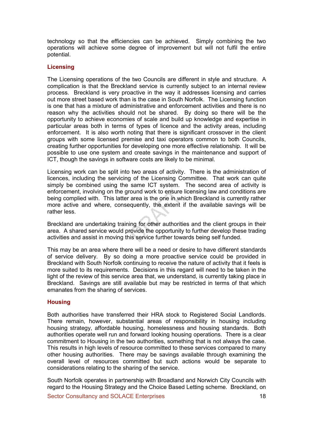technology so that the efficiencies can be achieved. Simply combining the two operations will achieve some degree of improvement but will not fulfil the entire potential.

#### **Licensing**

The Licensing operations of the two Councils are different in style and structure. A complication is that the Breckland service is currently subject to an internal review process. Breckland is very proactive in the way it addresses licensing and carries out more street based work than is the case in South Norfolk. The Licensing function is one that has a mixture of administrative and enforcement activities and there is no reason why the activities should not be shared. By doing so there will be the opportunity to achieve economies of scale and build up knowledge and expertise in particular areas both in terms of types of licence and the activity areas, including enforcement. It is also worth noting that there is significant crossover in the client groups with some licensed premise and taxi operators common to both Councils, creating further opportunities for developing one more effective relationship. It will be possible to use one system and create savings in the maintenance and support of ICT, though the savings in software costs are likely to be minimal.

Licensing work can be split into two areas of activity. There is the administration of licences, including the servicing of the Licensing Committee. That work can quite simply be combined using the same ICT system. The second area of activity is enforcement, involving on the ground work to ensure licensing law and conditions are being complied with. This latter area is the one in which Breckland is currently rather more active and where, consequently, the extent if the available savings will be rather less.

Breckland are undertaking training for other authorities and the client groups in their area. A shared service would provide the opportunity to further develop these trading activities and assist in moving this service further towards being self funded.

This may be an area where there will be a need or desire to have different standards of service delivery. By so doing a more proactive service could be provided in Breckland with South Norfolk continuing to receive the nature of activity that it feels is more suited to its requirements. Decisions in this regard will need to be taken in the light of the review of this service area that, we understand, is currently taking place in Breckland. Savings are still available but may be restricted in terms of that which emanates from the sharing of services.

#### **Housing**

Both authorities have transferred their HRA stock to Registered Social Landlords. There remain, however, substantial areas of responsibility in housing including housing strategy, affordable housing, homelessness and housing standards. Both authorities operate well run and forward looking housing operations. There is a clear commitment to Housing in the two authorities, something that is not always the case. This results in high levels of resource committed to these services compared to many other housing authorities. There may be savings available through examining the overall level of resources committed but such actions would be separate to considerations relating to the sharing of the service.

South Norfolk operates in partnership with Broadland and Norwich City Councils with regard to the Housing Strategy and the Choice Based Letting scheme. Breckland, on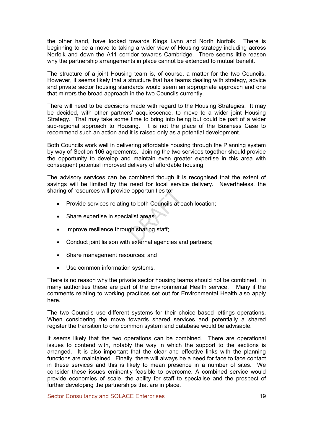the other hand, have looked towards Kings Lynn and North Norfolk. There is beginning to be a move to taking a wider view of Housing strategy including across Norfolk and down the A11 corridor towards Cambridge. There seems little reason why the partnership arrangements in place cannot be extended to mutual benefit.

The structure of a joint Housing team is, of course, a matter for the two Councils. However, it seems likely that a structure that has teams dealing with strategy, advice and private sector housing standards would seem an appropriate approach and one that mirrors the broad approach in the two Councils currently.

There will need to be decisions made with regard to the Housing Strategies. It may be decided, with other partners' acquiescence, to move to a wider joint Housing Strategy. That may take some time to bring into being but could be part of a wider sub-regional approach to Housing. It is not the place of the Business Case to recommend such an action and it is raised only as a potential development.

Both Councils work well in delivering affordable housing through the Planning system by way of Section 106 agreements. Joining the two services together should provide the opportunity to develop and maintain even greater expertise in this area with consequent potential improved delivery of affordable housing.

The advisory services can be combined though it is recognised that the extent of savings will be limited by the need for local service delivery. Nevertheless, the sharing of resources will provide opportunities to:

- Provide services relating to both Councils at each location;
- Share expertise in specialist areas;
- Improve resilience through sharing staff:
- Conduct joint liaison with external agencies and partners;
- Share management resources; and
- Use common information systems.

There is no reason why the private sector housing teams should not be combined. In many authorities these are part of the Environmental Health service. Many if the comments relating to working practices set out for Environmental Health also apply here.

The two Councils use different systems for their choice based lettings operations. When considering the move towards shared services and potentially a shared register the transition to one common system and database would be advisable.

It seems likely that the two operations can be combined. There are operational issues to contend with, notably the way in which the support to the sections is arranged. It is also important that the clear and effective links with the planning functions are maintained. Finally, there will always be a need for face to face contact in these services and this is likely to mean presence in a number of sites. We consider these issues eminently feasible to overcome. A combined service would provide economies of scale, the ability for staff to specialise and the prospect of further developing the partnerships that are in place.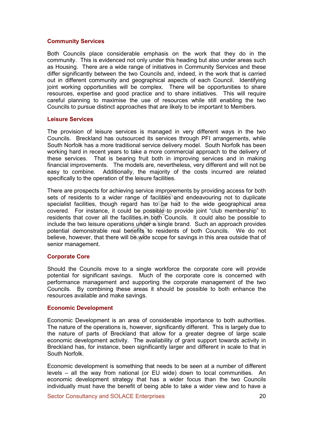#### Community Services

Both Councils place considerable emphasis on the work that they do in the community. This is evidenced not only under this heading but also under areas such as Housing. There are a wide range of initiatives in Community Services and these differ significantly between the two Councils and, indeed, in the work that is carried out in different community and geographical aspects of each Council. Identifying joint working opportunities will be complex. There will be opportunities to share resources, expertise and good practice and to share initiatives. This will require careful planning to maximise the use of resources while still enabling the two Councils to pursue distinct approaches that are likely to be important to Members.

#### Leisure Services

The provision of leisure services is managed in very different ways in the two Councils. Breckland has outsourced its services through PFI arrangements, while South Norfolk has a more traditional service delivery model. South Norfolk has been working hard in recent years to take a more commercial approach to the delivery of these services. That is bearing fruit both in improving services and in making financial improvements. The models are, nevertheless, very different and will not be easy to combine. Additionally, the majority of the costs incurred are related specifically to the operation of the leisure facilities.

There are prospects for achieving service improvements by providing access for both sets of residents to a wider range of facilities and endeavouring not to duplicate specialist facilities, though regard has to be had to the wide geographical area covered. For instance, it could be possible to provide joint "club membership" to residents that cover all the facilities in both Councils. It could also be possible to include the two leisure operations under a single brand. Such an approach provides potential demonstrable real benefits to residents of both Councils. We do not believe, however, that there will be wide scope for savings in this area outside that of senior management.

#### Corporate Core

Should the Councils move to a single workforce the corporate core will provide potential for significant savings. Much of the corporate core is concerned with performance management and supporting the corporate management of the two Councils. By combining these areas it should be possible to both enhance the resources available and make savings.

#### Economic Development

Economic Development is an area of considerable importance to both authorities. The nature of the operations is, however, significantly different. This is largely due to the nature of parts of Breckland that allow for a greater degree of large scale economic development activity. The availability of grant support towards activity in Breckland has, for instance, been significantly larger and different in scale to that in South Norfolk.

Economic development is something that needs to be seen at a number of different levels – all the way from national (or EU wide) down to local communities. An economic development strategy that has a wider focus than the two Councils individually must have the benefit of being able to take a wider view and to have a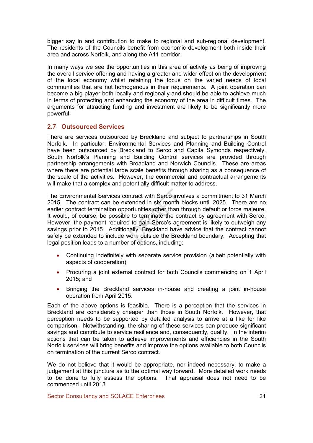bigger say in and contribution to make to regional and sub-regional development. The residents of the Councils benefit from economic development both inside their area and across Norfolk, and along the A11 corridor.

In many ways we see the opportunities in this area of activity as being of improving the overall service offering and having a greater and wider effect on the development of the local economy whilst retaining the focus on the varied needs of local communities that are not homogenous in their requirements. A joint operation can become a big player both locally and regionally and should be able to achieve much in terms of protecting and enhancing the economy of the area in difficult times. The arguments for attracting funding and investment are likely to be significantly more powerful.

## 2.7 Outsourced Services

There are services outsourced by Breckland and subject to partnerships in South Norfolk. In particular, Environmental Services and Planning and Building Control have been outsourced by Breckland to Serco and Capita Symonds respectively. South Norfolk's Planning and Building Control services are provided through partnership arrangements with Broadland and Norwich Councils. These are areas where there are potential large scale benefits through sharing as a consequence of the scale of the activities. However, the commercial and contractual arrangements will make that a complex and potentially difficult matter to address.

The Environmental Services contract with Serco involves a commitment to 31 March 2015. The contract can be extended in six month blocks until 2025. There are no earlier contract termination opportunities other than through default or force majeure. It would, of course, be possible to terminate the contract by agreement with Serco. However, the payment required to gain Serco's agreement is likely to outweigh any savings prior to 2015. Additionally, Breckland have advice that the contract cannot safely be extended to include work outside the Breckland boundary. Accepting that legal position leads to a number of options, including:

- Continuing indefinitely with separate service provision (albeit potentially with aspects of cooperation);
- Procuring a joint external contract for both Councils commencing on 1 April 2015; and
- Bringing the Breckland services in-house and creating a joint in-house operation from April 2015.

Each of the above options is feasible. There is a perception that the services in Breckland are considerably cheaper than those in South Norfolk. However, that perception needs to be supported by detailed analysis to arrive at a like for like comparison. Notwithstanding, the sharing of these services can produce significant savings and contribute to service resilience and, consequently, quality. In the interim actions that can be taken to achieve improvements and efficiencies in the South Norfolk services will bring benefits and improve the options available to both Councils on termination of the current Serco contract.

We do not believe that it would be appropriate, nor indeed necessary, to make a judgement at this juncture as to the optimal way forward. More detailed work needs to be done to fully assess the options. That appraisal does not need to be commenced until 2013.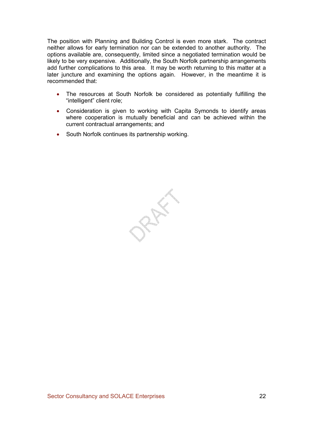The position with Planning and Building Control is even more stark. The contract neither allows for early termination nor can be extended to another authority. The options available are, consequently, limited since a negotiated termination would be likely to be very expensive. Additionally, the South Norfolk partnership arrangements add further complications to this area. It may be worth returning to this matter at a later juncture and examining the options again. However, in the meantime it is recommended that:

- The resources at South Norfolk be considered as potentially fulfilling the "intelligent" client role;
- Consideration is given to working with Capita Symonds to identify areas where cooperation is mutually beneficial and can be achieved within the current contractual arrangements; and
- South Norfolk continues its partnership working.

PREFE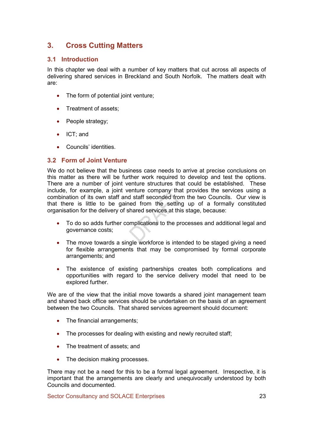## 3. Cross Cutting Matters

## 3.1 Introduction

In this chapter we deal with a number of key matters that cut across all aspects of delivering shared services in Breckland and South Norfolk. The matters dealt with are:

- The form of potential joint venture;
- Treatment of assets:
- People strategy;
- ICT; and
- Councils' identities.

## 3.2 Form of Joint Venture

We do not believe that the business case needs to arrive at precise conclusions on this matter as there will be further work required to develop and test the options. There are a number of joint venture structures that could be established. These include, for example, a joint venture company that provides the services using a combination of its own staff and staff seconded from the two Councils. Our view is that there is little to be gained from the setting up of a formally constituted organisation for the delivery of shared services at this stage, because:

- To do so adds further complications to the processes and additional legal and governance costs;
- The move towards a single workforce is intended to be staged giving a need for flexible arrangements that may be compromised by formal corporate arrangements; and
- The existence of existing partnerships creates both complications and opportunities with regard to the service delivery model that need to be explored further.

We are of the view that the initial move towards a shared joint management team and shared back office services should be undertaken on the basis of an agreement between the two Councils. That shared services agreement should document:

- The financial arrangements;
- The processes for dealing with existing and newly recruited staff;
- The treatment of assets; and
- The decision making processes.

There may not be a need for this to be a formal legal agreement. Irrespective, it is important that the arrangements are clearly and unequivocally understood by both Councils and documented.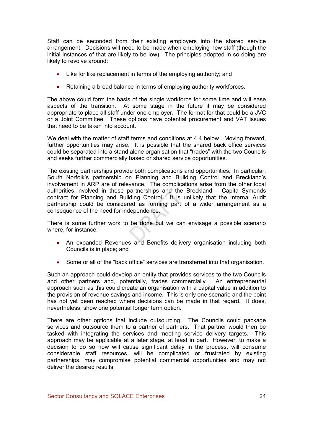Staff can be seconded from their existing employers into the shared service arrangement. Decisions will need to be made when employing new staff (though the initial instances of that are likely to be low). The principles adopted in so doing are likely to revolve around:

- Like for like replacement in terms of the employing authority; and
- Retaining a broad balance in terms of employing authority workforces.

The above could form the basis of the single workforce for some time and will ease aspects of the transition. At some stage in the future it may be considered appropriate to place all staff under one employer. The format for that could be a JVC or a Joint Committee. These options have potential procurement and VAT issues that need to be taken into account.

We deal with the matter of staff terms and conditions at 4.4 below. Moving forward, further opportunities may arise. It is possible that the shared back office services could be separated into a stand alone organisation that "trades" with the two Councils and seeks further commercially based or shared service opportunities.

The existing partnerships provide both complications and opportunities. In particular, South Norfolk's partnership on Planning and Building Control and Breckland's involvement in ARP are of relevance. The complications arise from the other local authorities involved in these partnerships and the Breckland – Capita Symonds contract for Planning and Building Control. It is unlikely that the Internal Audit partnership could be considered as forming part of a wider arrangement as a consequence of the need for independence.

There is some further work to be done but we can envisage a possible scenario where, for instance:

- An expanded Revenues and Benefits delivery organisation including both Councils is in place; and
- Some or all of the "back office" services are transferred into that organisation.

Such an approach could develop an entity that provides services to the two Councils and other partners and, potentially, trades commercially. An entrepreneurial approach such as this could create an organisation with a capital value in addition to the provision of revenue savings and income. This is only one scenario and the point has not yet been reached where decisions can be made in that regard. It does, nevertheless, show one potential longer term option.

There are other options that include outsourcing. The Councils could package services and outsource them to a partner of partners. That partner would then be tasked with integrating the services and meeting service delivery targets. This approach may be applicable at a later stage, at least in part. However, to make a decision to do so now will cause significant delay in the process, will consume considerable staff resources, will be complicated or frustrated by existing partnerships, may compromise potential commercial opportunities and may not deliver the desired results.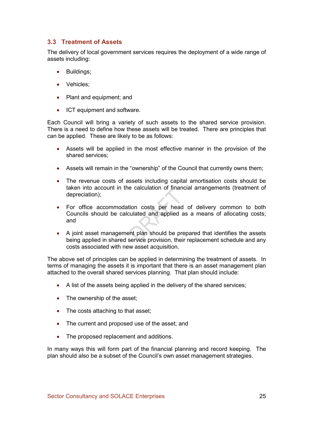## 3.3 Treatment of Assets

The delivery of local government services requires the deployment of a wide range of assets including:

- Buildings;
- Vehicles;
- Plant and equipment; and
- ICT equipment and software.

Each Council will bring a variety of such assets to the shared service provision. There is a need to define how these assets will be treated. There are principles that can be applied. These are likely to be as follows:

- Assets will be applied in the most effective manner in the provision of the shared services;
- Assets will remain in the "ownership" of the Council that currently owns them:
- The revenue costs of assets including capital amortisation costs should be taken into account in the calculation of financial arrangements (treatment of depreciation);
- For office accommodation costs per head of delivery common to both Councils should be calculated and applied as a means of allocating costs; and
- A joint asset management plan should be prepared that identifies the assets being applied in shared service provision, their replacement schedule and any costs associated with new asset acquisition.

The above set of principles can be applied in determining the treatment of assets. In terms of managing the assets it is important that there is an asset management plan attached to the overall shared services planning. That plan should include:

- A list of the assets being applied in the delivery of the shared services;
- The ownership of the asset;
- The costs attaching to that asset;
- The current and proposed use of the asset; and
- The proposed replacement and additions.

In many ways this will form part of the financial planning and record keeping. The plan should also be a subset of the Council's own asset management strategies.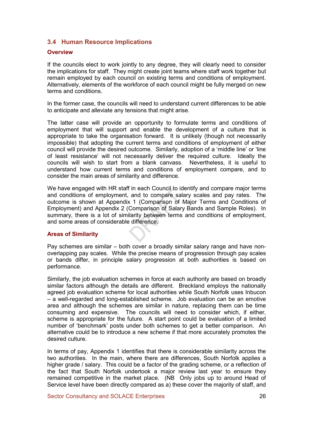## 3.4 Human Resource Implications

#### **Overview**

If the councils elect to work jointly to any degree, they will clearly need to consider the implications for staff. They might create joint teams where staff work together but remain employed by each council on existing terms and conditions of employment. Alternatively, elements of the workforce of each council might be fully merged on new terms and conditions.

In the former case, the councils will need to understand current differences to be able to anticipate and alleviate any tensions that might arise.

The latter case will provide an opportunity to formulate terms and conditions of employment that will support and enable the development of a culture that is appropriate to take the organisation forward. It is unlikely (though not necessarily impossible) that adopting the current terms and conditions of employment of either council will provide the desired outcome. Similarly, adoption of a 'middle line' or 'line of least resistance' will not necessarily deliver the required culture. Ideally the councils will wish to start from a blank canvass. Nevertheless, it is useful to understand how current terms and conditions of employment compare, and to consider the main areas of similarity and difference.

We have engaged with HR staff in each Council to identify and compare major terms and conditions of employment, and to compare salary scales and pay rates. The outcome is shown at Appendix 1 (Comparison of Major Terms and Conditions of Employment) and Appendix 2 (Comparison of Salary Bands and Sample Roles). In summary, there is a lot of similarity between terms and conditions of employment, and some areas of considerable difference.

### Areas of Similarity

Pay schemes are similar – both cover a broadly similar salary range and have nonoverlapping pay scales. While the precise means of progression through pay scales or bands differ, in principle salary progression at both authorities is based on performance.

Similarly, the job evaluation schemes in force at each authority are based on broadly similar factors although the details are different. Breckland employs the nationally agreed job evaluation scheme for local authorities while South Norfolk uses Inbucon – a well-regarded and long-established scheme. Job evaluation can be an emotive area and although the schemes are similar in nature, replacing them can be time consuming and expensive. The councils will need to consider which, if either, scheme is appropriate for the future. A start point could be evaluation of a limited number of 'benchmark' posts under both schemes to get a better comparison. An alternative could be to introduce a new scheme if that more accurately promotes the desired culture.

In terms of pay, Appendix 1 identifies that there is considerable similarity across the two authorities. In the main, where there are differences, South Norfolk applies a higher grade / salary. This could be a factor of the grading scheme, or a reflection of the fact that South Norfolk undertook a major review last year to ensure they remained competitive in the market place. (NB Only jobs up to around Head of Service level have been directly compared as a) these cover the majority of staff, and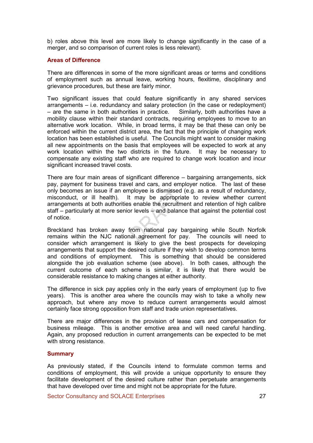b) roles above this level are more likely to change significantly in the case of a merger, and so comparison of current roles is less relevant).

#### Areas of Difference

There are differences in some of the more significant areas or terms and conditions of employment such as annual leave, working hours, flexitime, disciplinary and grievance procedures, but these are fairly minor.

Two significant issues that could feature significantly in any shared services arrangements – i.e. redundancy and salary protection (in the case or redeployment) – are the same in both authorities in practice. Similarly, both authorities have a mobility clause within their standard contracts, requiring employees to move to an alternative work location. While, in broad terms, it may be that these can only be enforced within the current district area, the fact that the principle of changing work location has been established is useful. The Councils might want to consider making all new appointments on the basis that employees will be expected to work at any work location within the two districts in the future. It may be necessary to compensate any existing staff who are required to change work location and incur significant increased travel costs.

There are four main areas of significant difference – bargaining arrangements, sick pay, payment for business travel and cars, and employer notice. The last of these only becomes an issue if an employee is dismissed (e.g. as a result of redundancy, misconduct, or ill health). It may be appropriate to review whether current arrangements at both authorities enable the recruitment and retention of high calibre staff – particularly at more senior levels – and balance that against the potential cost of notice.

Breckland has broken away from national pay bargaining while South Norfolk remains within the NJC national agreement for pay. The councils will need to consider which arrangement is likely to give the best prospects for developing arrangements that support the desired culture if they wish to develop common terms and conditions of employment. This is something that should be considered alongside the job evaluation scheme (see above). In both cases, although the current outcome of each scheme is similar, it is likely that there would be considerable resistance to making changes at either authority.

The difference in sick pay applies only in the early years of employment (up to five years). This is another area where the councils may wish to take a wholly new approach, but where any move to reduce current arrangements would almost certainly face strong opposition from staff and trade union representatives.

There are major differences in the provision of lease cars and compensation for business mileage. This is another emotive area and will need careful handling. Again, any proposed reduction in current arrangements can be expected to be met with strong resistance.

#### **Summary**

As previously stated, if the Councils intend to formulate common terms and conditions of employment, this will provide a unique opportunity to ensure they facilitate development of the desired culture rather than perpetuate arrangements that have developed over time and might not be appropriate for the future.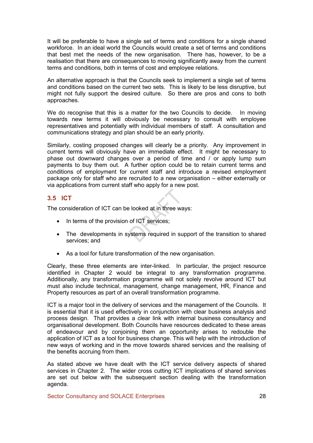It will be preferable to have a single set of terms and conditions for a single shared workforce. In an ideal world the Councils would create a set of terms and conditions that best met the needs of the new organisation. There has, however, to be a realisation that there are consequences to moving significantly away from the current terms and conditions, both in terms of cost and employee relations.

An alternative approach is that the Councils seek to implement a single set of terms and conditions based on the current two sets. This is likely to be less disruptive, but might not fully support the desired culture. So there are pros and cons to both approaches.

We do recognise that this is a matter for the two Councils to decide. In moving towards new terms it will obviously be necessary to consult with employee representatives and potentially with individual members of staff. A consultation and communications strategy and plan should be an early priority.

Similarly, costing proposed changes will clearly be a priority. Any improvement in current terms will obviously have an immediate effect. It might be necessary to phase out downward changes over a period of time and / or apply lump sum payments to buy them out. A further option could be to retain current terms and conditions of employment for current staff and introduce a revised employment package only for staff who are recruited to a new organisation – either externally or via applications from current staff who apply for a new post.

## 3.5 ICT

The consideration of ICT can be looked at in three ways:

- In terms of the provision of ICT services;
- The developments in systems required in support of the transition to shared services; and
- As a tool for future transformation of the new organisation.

Clearly, these three elements are inter-linked. In particular, the project resource identified in Chapter 2 would be integral to any transformation programme. Additionally, any transformation programme will not solely revolve around ICT but must also include technical, management, change management, HR, Finance and Property resources as part of an overall transformation programme.

ICT is a major tool in the delivery of services and the management of the Councils. It is essential that it is used effectively in conjunction with clear business analysis and process design. That provides a clear link with internal business consultancy and organisational development. Both Councils have resources dedicated to these areas of endeavour and by conjoining them an opportunity arises to redouble the application of ICT as a tool for business change. This will help with the introduction of new ways of working and in the move towards shared services and the realising of the benefits accruing from them.

As stated above we have dealt with the ICT service delivery aspects of shared services in Chapter 2. The wider cross cutting ICT implications of shared services are set out below with the subsequent section dealing with the transformation agenda.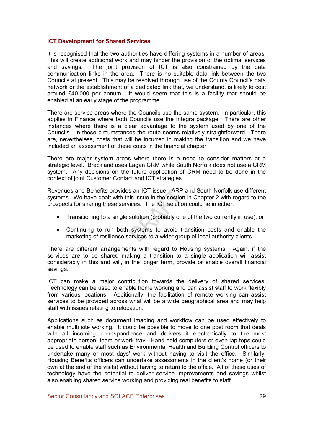#### ICT Development for Shared Services

It is recognised that the two authorities have differing systems in a number of areas. This will create additional work and may hinder the provision of the optimal services and savings. The joint provision of ICT is also constrained by the data communication links in the area. There is no suitable data link between the two Councils at present. This may be resolved through use of the County Council's data network or the establishment of a dedicated link that, we understand, is likely to cost around £40,000 per annum. It would seem that this is a facility that should be enabled at an early stage of the programme.

There are service areas where the Councils use the same system. In particular, this applies in Finance where both Councils use the Integra package. There are other instances where there is a clear advantage to the system used by one of the Councils. In those circumstances the route seems relatively straightforward. There are, nevertheless, costs that will be incurred in making the transition and we have included an assessment of these costs in the financial chapter.

There are major system areas where there is a need to consider matters at a strategic level. Breckland uses Lagan CRM while South Norfolk does not use a CRM system. Any decisions on the future application of CRM need to be done in the context of joint Customer Contact and ICT strategies.

Revenues and Benefits provides an ICT issue. ARP and South Norfolk use different systems. We have dealt with this issue in the section in Chapter 2 with regard to the prospects for sharing these services. The ICT solution could lie in either:

- Transitioning to a single solution (probably one of the two currently in use); or
- Continuing to run both systems to avoid transition costs and enable the marketing of resilience services to a wider group of local authority clients.

There are different arrangements with regard to Housing systems. Again, if the services are to be shared making a transition to a single application will assist considerably in this and will, in the longer term, provide or enable overall financial savings.

ICT can make a major contribution towards the delivery of shared services. Technology can be used to enable home working and can assist staff to work flexibly from various locations. Additionally, the facilitation of remote working can assist services to be provided across what will be a wide geographical area and may help staff with issues relating to relocation.

Applications such as document imaging and workflow can be used effectively to enable multi site working. It could be possible to move to one post room that deals with all incoming correspondence and delivers it electronically to the most appropriate person, team or work tray. Hand held computers or even lap tops could be used to enable staff such as Environmental Health and Building Control officers to undertake many or most days' work without having to visit the office. Similarly, Housing Benefits officers can undertake assessments in the client's home (or their own at the end of the visits) without having to return to the office. All of these uses of technology have the potential to deliver service improvements and savings whilst also enabling shared service working and providing real benefits to staff.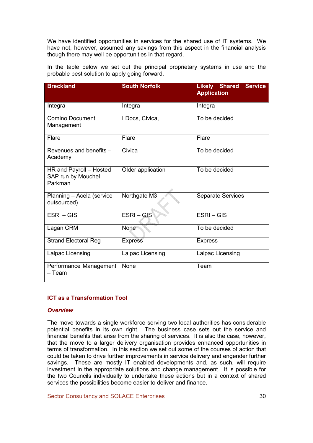We have identified opportunities in services for the shared use of IT systems. We have not, however, assumed any savings from this aspect in the financial analysis though there may well be opportunities in that regard.

In the table below we set out the principal proprietary systems in use and the probable best solution to apply going forward.

| <b>Breckland</b>                                         | <b>South Norfolk</b> | <b>Service</b><br><b>Likely Shared</b><br><b>Application</b> |
|----------------------------------------------------------|----------------------|--------------------------------------------------------------|
| Integra                                                  | Integra              | Integra                                                      |
| <b>Comino Document</b><br>Management                     | I Docs, Civica,      | To be decided                                                |
| Flare                                                    | Flare                | Flare                                                        |
| Revenues and benefits -<br>Academy                       | Civica               | To be decided                                                |
| HR and Payroll - Hosted<br>SAP run by Mouchel<br>Parkman | Older application    | To be decided                                                |
| Planning - Acela (service<br>outsourced)                 | Northgate M3         | <b>Separate Services</b>                                     |
| ESRI-GIS                                                 | ESRI-GIS             | $ESRI - GIS$                                                 |
| Lagan CRM                                                | None                 | To be decided                                                |
| <b>Strand Electoral Reg</b>                              | <b>Express</b>       | <b>Express</b>                                               |
| Lalpac Licensing                                         | Lalpac Licensing     | Lalpac Licensing                                             |
| Performance Management<br>– Team                         | None                 | Team                                                         |

### ICT as a Transformation Tool

#### **Overview**

The move towards a single workforce serving two local authorities has considerable potential benefits in its own right. The business case sets out the service and financial benefits that arise from the sharing of services. It is also the case, however, that the move to a larger delivery organisation provides enhanced opportunities in terms of transformation. In this section we set out some of the courses of action that could be taken to drive further improvements in service delivery and engender further savings. These are mostly IT enabled developments and, as such, will require investment in the appropriate solutions and change management. It is possible for the two Councils individually to undertake these actions but in a context of shared services the possibilities become easier to deliver and finance.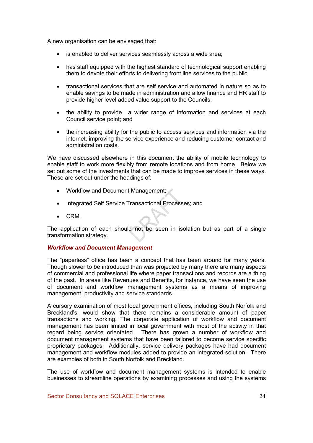A new organisation can be envisaged that:

- is enabled to deliver services seamlessly across a wide area;
- has staff equipped with the highest standard of technological support enabling them to devote their efforts to delivering front line services to the public
- transactional services that are self service and automated in nature so as to enable savings to be made in administration and allow finance and HR staff to provide higher level added value support to the Councils;
- the ability to provide a wider range of information and services at each Council service point; and
- the increasing ability for the public to access services and information via the internet, improving the service experience and reducing customer contact and administration costs.

We have discussed elsewhere in this document the ability of mobile technology to enable staff to work more flexibly from remote locations and from home. Below we set out some of the investments that can be made to improve services in these ways. These are set out under the headings of:

- Workflow and Document Management;
- Integrated Self Service Transactional Processes; and
- CRM.

The application of each should not be seen in isolation but as part of a single transformation strategy.

### Workflow and Document Management

The "paperless" office has been a concept that has been around for many years. Though slower to be introduced than was projected by many there are many aspects of commercial and professional life where paper transactions and records are a thing of the past. In areas like Revenues and Benefits, for instance, we have seen the use of document and workflow management systems as a means of improving management, productivity and service standards.

A cursory examination of most local government offices, including South Norfolk and Breckland's, would show that there remains a considerable amount of paper transactions and working. The corporate application of workflow and document management has been limited in local government with most of the activity in that regard being service orientated. There has grown a number of workflow and document management systems that have been tailored to become service specific proprietary packages. Additionally, service delivery packages have had document management and workflow modules added to provide an integrated solution. There are examples of both in South Norfolk and Breckland.

The use of workflow and document management systems is intended to enable businesses to streamline operations by examining processes and using the systems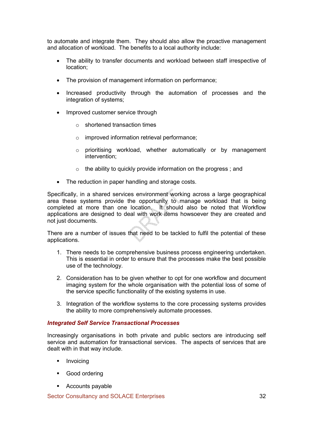to automate and integrate them. They should also allow the proactive management and allocation of workload. The benefits to a local authority include:

- The ability to transfer documents and workload between staff irrespective of location;
- The provision of management information on performance;
- Increased productivity through the automation of processes and the integration of systems;
- Improved customer service through
	- o shortened transaction times
	- o improved information retrieval performance;
	- o prioritising workload, whether automatically or by management intervention;
	- $\circ$  the ability to quickly provide information on the progress; and
- The reduction in paper handling and storage costs.

Specifically, in a shared services environment working across a large geographical area these systems provide the opportunity to manage workload that is being completed at more than one location. It should also be noted that Workflow applications are designed to deal with work items howsoever they are created and not just documents.

There are a number of issues that need to be tackled to fulfil the potential of these applications.

- 1. There needs to be comprehensive business process engineering undertaken. This is essential in order to ensure that the processes make the best possible use of the technology.
- 2. Consideration has to be given whether to opt for one workflow and document imaging system for the whole organisation with the potential loss of some of the service specific functionality of the existing systems in use.
- 3. Integration of the workflow systems to the core processing systems provides the ability to more comprehensively automate processes.

#### Integrated Self Service Transactional Processes

Increasingly organisations in both private and public sectors are introducing self service and automation for transactional services. The aspects of services that are dealt with in that way include.

- **•** Invoicing
- § Good ordering
- Accounts payable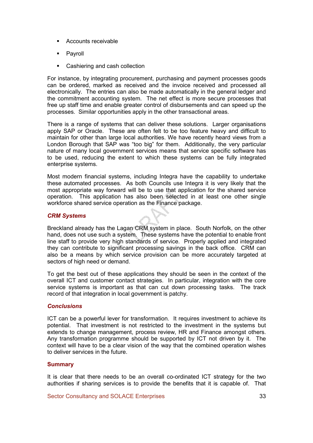- § Accounts receivable
- Payroll
- Cashiering and cash collection

For instance, by integrating procurement, purchasing and payment processes goods can be ordered, marked as received and the invoice received and processed all electronically. The entries can also be made automatically in the general ledger and the commitment accounting system. The net effect is more secure processes that free up staff time and enable greater control of disbursements and can speed up the processes. Similar opportunities apply in the other transactional areas.

There is a range of systems that can deliver these solutions. Larger organisations apply SAP or Oracle. These are often felt to be too feature heavy and difficult to maintain for other than large local authorities. We have recently heard views from a London Borough that SAP was "too big" for them. Additionally, the very particular nature of many local government services means that service specific software has to be used, reducing the extent to which these systems can be fully integrated enterprise systems.

Most modern financial systems, including Integra have the capability to undertake these automated processes. As both Councils use Integra it is very likely that the most appropriate way forward will be to use that application for the shared service operation. This application has also been selected in at least one other single workforce shared service operation as the Finance package.

#### CRM Systems

Breckland already has the Lagan CRM system in place. South Norfolk, on the other hand, does not use such a system. These systems have the potential to enable front line staff to provide very high standards of service. Properly applied and integrated they can contribute to significant processing savings in the back office. CRM can also be a means by which service provision can be more accurately targeted at sectors of high need or demand.

To get the best out of these applications they should be seen in the context of the overall ICT and customer contact strategies. In particular, integration with the core service systems is important as that can cut down processing tasks. The track record of that integration in local government is patchy.

#### **Conclusions**

ICT can be a powerful lever for transformation. It requires investment to achieve its potential. That investment is not restricted to the investment in the systems but extends to change management, process review, HR and Finance amongst others. Any transformation programme should be supported by ICT not driven by it. The context will have to be a clear vision of the way that the combined operation wishes to deliver services in the future.

#### **Summary**

It is clear that there needs to be an overall co-ordinated ICT strategy for the two authorities if sharing services is to provide the benefits that it is capable of. That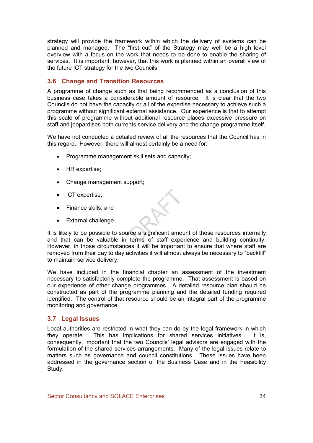strategy will provide the framework within which the delivery of systems can be planned and managed. The "first cut" of the Strategy may well be a high level overview with a focus on the work that needs to be done to enable the sharing of services. It is important, however, that this work is planned within an overall view of the future ICT strategy for the two Councils.

# 3.6 Change and Transition Resources

A programme of change such as that being recommended as a conclusion of this business case takes a considerable amount of resource. It is clear that the two Councils do not have the capacity or all of the expertise necessary to achieve such a programme without significant external assistance. Our experience is that to attempt this scale of programme without additional resource places excessive pressure on staff and jeopardises both currents service delivery and the change programme itself.

We have not conducted a detailed review of all the resources that the Council has in this regard. However, there will almost certainly be a need for:

- Programme management skill sets and capacity;
- HR expertise;
- Change management support;
- ICT expertise;
- Finance skills; and
- External challenge.

It is likely to be possible to source a significant amount of these resources internally and that can be valuable in terms of staff experience and building continuity. However, in those circumstances it will be important to ensure that where staff are removed from their day to day activities it will almost always be necessary to "backfill" to maintain service delivery.

We have included in the financial chapter an assessment of the investment necessary to satisfactorily complete the programme. That assessment is based on our experience of other change programmes. A detailed resource plan should be constructed as part of the programme planning and the detailed funding required identified. The control of that resource should be an integral part of the programme monitoring and governance.

### 3.7 Legal Issues

Local authorities are restricted in what they can do by the legal framework in which they operate. This has implications for shared services initiatives. It is, consequently, important that the two Councils' legal advisors are engaged with the formulation of the shared services arrangements. Many of the legal issues relate to matters such as governance and council constitutions. These issues have been addressed in the governance section of the Business Case and in the Feasibility Study.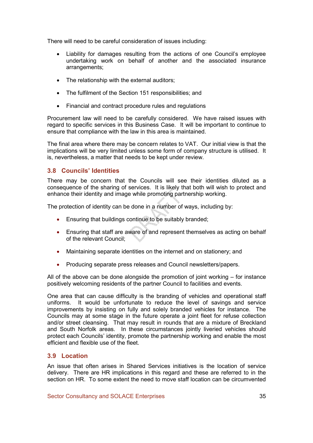There will need to be careful consideration of issues including:

- Liability for damages resulting from the actions of one Council's employee undertaking work on behalf of another and the associated insurance arrangements;
- The relationship with the external auditors:
- The fulfilment of the Section 151 responsibilities; and
- Financial and contract procedure rules and regulations

Procurement law will need to be carefully considered. We have raised issues with regard to specific services in this Business Case. It will be important to continue to ensure that compliance with the law in this area is maintained.

The final area where there may be concern relates to VAT. Our initial view is that the implications will be very limited unless some form of company structure is utilised. It is, nevertheless, a matter that needs to be kept under review.

# 3.8 Councils' Identities

There may be concern that the Councils will see their identities diluted as a consequence of the sharing of services. It is likely that both will wish to protect and enhance their identity and image while promoting partnership working.

The protection of identity can be done in a number of ways, including by:

- Ensuring that buildings continue to be suitably branded;
- Ensuring that staff are aware of and represent themselves as acting on behalf of the relevant Council;
- Maintaining separate identities on the internet and on stationery; and
- Producing separate press releases and Council newsletters/papers.

All of the above can be done alongside the promotion of joint working – for instance positively welcoming residents of the partner Council to facilities and events.

One area that can cause difficulty is the branding of vehicles and operational staff uniforms. It would be unfortunate to reduce the level of savings and service improvements by insisting on fully and solely branded vehicles for instance. The Councils may at some stage in the future operate a joint fleet for refuse collection and/or street cleansing. That may result in rounds that are a mixture of Breckland and South Norfolk areas. In these circumstances jointly liveried vehicles should protect each Councils' identity, promote the partnership working and enable the most efficient and flexible use of the fleet.

### 3.9 Location

An issue that often arises in Shared Services initiatives is the location of service delivery. There are HR implications in this regard and these are referred to in the section on HR. To some extent the need to move staff location can be circumvented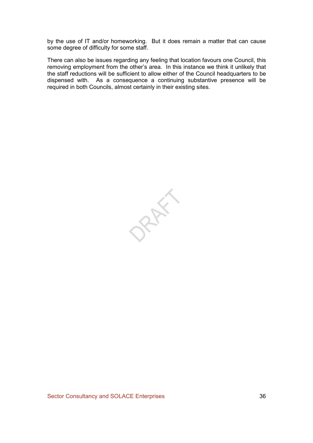by the use of IT and/or homeworking. But it does remain a matter that can cause some degree of difficulty for some staff.

There can also be issues regarding any feeling that location favours one Council, this removing employment from the other's area. In this instance we think it unlikely that the staff reductions will be sufficient to allow either of the Council headquarters to be dispensed with. As a consequence a continuing substantive presence will be required in both Councils, almost certainly in their existing sites.

PREFE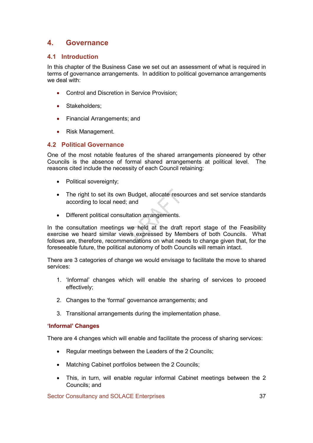# 4. Governance

# 4.1 Introduction

In this chapter of the Business Case we set out an assessment of what is required in terms of governance arrangements. In addition to political governance arrangements we deal with:

- Control and Discretion in Service Provision;
- Stakeholders;
- Financial Arrangements; and
- Risk Management.

# 4.2 Political Governance

One of the most notable features of the shared arrangements pioneered by other Councils is the absence of formal shared arrangements at political level. The reasons cited include the necessity of each Council retaining:

- Political sovereignty;
- The right to set its own Budget, allocate resources and set service standards according to local need; and
- Different political consultation arrangements.

In the consultation meetings we held at the draft report stage of the Feasibility exercise we heard similar views expressed by Members of both Councils. What follows are, therefore, recommendations on what needs to change given that, for the foreseeable future, the political autonomy of both Councils will remain intact.

There are 3 categories of change we would envisage to facilitate the move to shared services:

- 1. 'Informal' changes which will enable the sharing of services to proceed effectively;
- 2. Changes to the 'formal' governance arrangements; and
- 3. Transitional arrangements during the implementation phase.

### 'Informal' Changes

There are 4 changes which will enable and facilitate the process of sharing services:

- Regular meetings between the Leaders of the 2 Councils;
- Matching Cabinet portfolios between the 2 Councils;
- This, in turn, will enable regular informal Cabinet meetings between the 2 Councils; and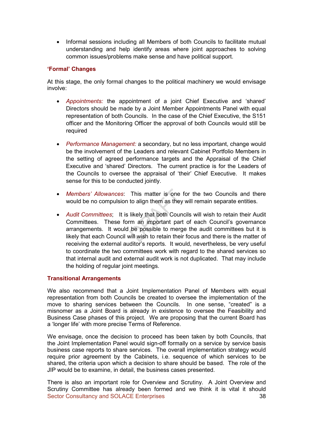• Informal sessions including all Members of both Councils to facilitate mutual understanding and help identify areas where joint approaches to solving common issues/problems make sense and have political support.

### 'Formal' Changes

At this stage, the only formal changes to the political machinery we would envisage involve:

- Appointments: the appointment of a joint Chief Executive and 'shared' Directors should be made by a Joint Member Appointments Panel with equal representation of both Councils. In the case of the Chief Executive, the S151 officer and the Monitoring Officer the approval of both Councils would still be required
- Performance Management: a secondary, but no less important, change would be the involvement of the Leaders and relevant Cabinet Portfolio Members in the setting of agreed performance targets and the Appraisal of the Chief Executive and 'shared' Directors. The current practice is for the Leaders of the Councils to oversee the appraisal of 'their' Chief Executive. It makes sense for this to be conducted jointly.
- Members' Allowances: This matter is one for the two Councils and there would be no compulsion to align them as they will remain separate entities.
- Audit Committees; It is likely that both Councils will wish to retain their Audit Committees. These form an important part of each Council's governance arrangements. It would be possible to merge the audit committees but it is likely that each Council will wish to retain their focus and there is the matter of receiving the external auditor's reports. It would, nevertheless, be very useful to coordinate the two committees work with regard to the shared services so that internal audit and external audit work is not duplicated. That may include the holding of regular joint meetings.

#### Transitional Arrangements

We also recommend that a Joint Implementation Panel of Members with equal representation from both Councils be created to oversee the implementation of the move to sharing services between the Councils. In one sense, "created" is a misnomer as a Joint Board is already in existence to oversee the Feasibility and Business Case phases of this project. We are proposing that the current Board has a 'longer life' with more precise Terms of Reference.

We envisage, once the decision to proceed has been taken by both Councils, that the Joint Implementation Panel would sign-off formally on a service by service basis business case reports to share services. The overall implementation strategy would require prior agreement by the Cabinets, i.e. sequence of which services to be shared, the criteria upon which a decision to share should be based. The role of the JIP would be to examine, in detail, the business cases presented.

Sector Consultancy and SOLACE Enterprises 38 There is also an important role for Overview and Scrutiny. A Joint Overview and Scrutiny Committee has already been formed and we think it is vital it should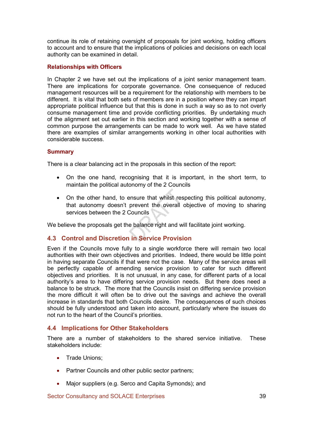continue its role of retaining oversight of proposals for joint working, holding officers to account and to ensure that the implications of policies and decisions on each local authority can be examined in detail.

### Relationships with Officers

In Chapter 2 we have set out the implications of a joint senior management team. There are implications for corporate governance. One consequence of reduced management resources will be a requirement for the relationship with members to be different. It is vital that both sets of members are in a position where they can impart appropriate political influence but that this is done in such a way so as to not overly consume management time and provide conflicting priorities. By undertaking much of the alignment set out earlier in this section and working together with a sense of common purpose the arrangements can be made to work well. As we have stated there are examples of similar arrangements working in other local authorities with considerable success.

### **Summary**

There is a clear balancing act in the proposals in this section of the report:

- On the one hand, recognising that it is important, in the short term, to maintain the political autonomy of the 2 Councils
- On the other hand, to ensure that whilst respecting this political autonomy, that autonomy doesn't prevent the overall objective of moving to sharing services between the 2 Councils

We believe the proposals get the balance right and will facilitate joint working.

### 4.3 Control and Discretion in Service Provision

Even if the Councils move fully to a single workforce there will remain two local authorities with their own objectives and priorities. Indeed, there would be little point in having separate Councils if that were not the case. Many of the service areas will be perfectly capable of amending service provision to cater for such different objectives and priorities. It is not unusual, in any case, for different parts of a local authority's area to have differing service provision needs. But there does need a balance to be struck. The more that the Councils insist on differing service provision the more difficult it will often be to drive out the savings and achieve the overall increase in standards that both Councils desire. The consequences of such choices should be fully understood and taken into account, particularly where the issues do not run to the heart of the Council's priorities.

### 4.4 Implications for Other Stakeholders

There are a number of stakeholders to the shared service initiative. These stakeholders include:

- Trade Unions:
- Partner Councils and other public sector partners;
- Major suppliers (e.g. Serco and Capita Symonds); and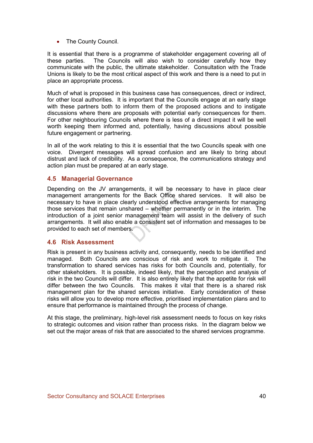• The County Council.

It is essential that there is a programme of stakeholder engagement covering all of these parties. The Councils will also wish to consider carefully how they communicate with the public, the ultimate stakeholder. Consultation with the Trade Unions is likely to be the most critical aspect of this work and there is a need to put in place an appropriate process.

Much of what is proposed in this business case has consequences, direct or indirect, for other local authorities. It is important that the Councils engage at an early stage with these partners both to inform them of the proposed actions and to instigate discussions where there are proposals with potential early consequences for them. For other neighbouring Councils where there is less of a direct impact it will be well worth keeping them informed and, potentially, having discussions about possible future engagement or partnering.

In all of the work relating to this it is essential that the two Councils speak with one voice. Divergent messages will spread confusion and are likely to bring about distrust and lack of credibility. As a consequence, the communications strategy and action plan must be prepared at an early stage.

## 4.5 Managerial Governance

Depending on the JV arrangements, it will be necessary to have in place clear management arrangements for the Back Office shared services. It will also be necessary to have in place clearly understood effective arrangements for managing those services that remain unshared – whether permanently or in the interim. The introduction of a joint senior management team will assist in the delivery of such arrangements. It will also enable a consistent set of information and messages to be provided to each set of members.

### 4.6 Risk Assessment

Risk is present in any business activity and, consequently, needs to be identified and managed. Both Councils are conscious of risk and work to mitigate it. The transformation to shared services has risks for both Councils and, potentially, for other stakeholders. It is possible, indeed likely, that the perception and analysis of risk in the two Councils will differ. It is also entirely likely that the appetite for risk will differ between the two Councils. This makes it vital that there is a shared risk management plan for the shared services initiative. Early consideration of these risks will allow you to develop more effective, prioritised implementation plans and to ensure that performance is maintained through the process of change.

At this stage, the preliminary, high-level risk assessment needs to focus on key risks to strategic outcomes and vision rather than process risks. In the diagram below we set out the major areas of risk that are associated to the shared services programme.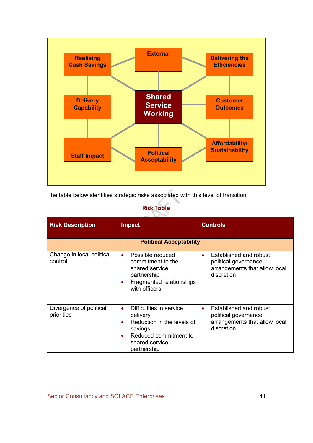

The table below identifies strategic risks associated with this level of transition.

#### Risk Table  $\sum_{i=1}^n$

| <b>Risk Description</b>               | <b>Impact</b>                                                                                                                                                                 | <b>Controls</b>                                                                                            |  |
|---------------------------------------|-------------------------------------------------------------------------------------------------------------------------------------------------------------------------------|------------------------------------------------------------------------------------------------------------|--|
|                                       | <b>Political Acceptability</b>                                                                                                                                                |                                                                                                            |  |
| Change in local political<br>control  | Possible reduced<br>$\bullet$<br>commitment to the<br>shared service<br>partnership<br>Fragmented relationships<br>with officers                                              | Established and robust<br>$\bullet$<br>political governance<br>arrangements that allow local<br>discretion |  |
| Divergence of political<br>priorities | Difficulties in service<br>$\bullet$<br>delivery<br>Reduction in the levels of<br>$\bullet$<br>savings<br>Reduced commitment to<br>$\bullet$<br>shared service<br>partnership | Established and robust<br>٠<br>political governance<br>arrangements that allow local<br>discretion         |  |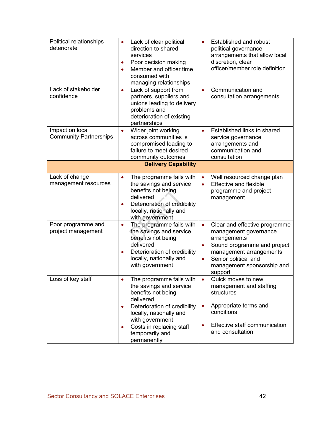| Political relationships<br>deteriorate           | Lack of clear political<br>$\bullet$<br>direction to shared<br>services<br>Poor decision making<br>Member and officer time<br>$\bullet$<br>consumed with<br>managing relationships     | <b>Established and robust</b><br>$\bullet$<br>political governance<br>arrangements that allow local<br>discretion, clear<br>officer/member role definition                                                                               |
|--------------------------------------------------|----------------------------------------------------------------------------------------------------------------------------------------------------------------------------------------|------------------------------------------------------------------------------------------------------------------------------------------------------------------------------------------------------------------------------------------|
| Lack of stakeholder<br>confidence                | Lack of support from<br>$\bullet$<br>partners, suppliers and<br>unions leading to delivery<br>problems and<br>deterioration of existing<br>partnerships                                | Communication and<br>$\bullet$<br>consultation arrangements                                                                                                                                                                              |
| Impact on local<br><b>Community Partnerships</b> | Wider joint working<br>$\bullet$<br>across communities is<br>compromised leading to<br>failure to meet desired<br>community outcomes                                                   | Established links to shared<br>$\bullet$<br>service governance<br>arrangements and<br>communication and<br>consultation                                                                                                                  |
|                                                  | <b>Delivery Capability</b>                                                                                                                                                             |                                                                                                                                                                                                                                          |
| Lack of change<br>management resources           | The programme fails with<br>$\bullet$<br>the savings and service<br>benefits not being<br>delivered<br>Deterioration of credibility<br>٠<br>locally, nationally and<br>with government | Well resourced change plan<br>$\bullet$<br><b>Effective and flexible</b><br>$\bullet$<br>programme and project<br>management                                                                                                             |
| Poor programme and<br>project management         | The programme fails with<br>$\bullet$<br>the savings and service<br>benefits not being<br>delivered<br>Deterioration of credibility<br>locally, nationally and<br>with government      | Clear and effective programme<br>$\bullet$<br>management governance<br>arrangements<br>Sound programme and project<br>$\bullet$<br>management arrangements<br>Senior political and<br>$\bullet$<br>management sponsorship and<br>support |
| Loss of key staff                                | The programme fails with<br>$\bullet$<br>the savings and service<br>benefits not being<br>delivered                                                                                    | Quick moves to new<br>$\bullet$<br>management and staffing<br>structures                                                                                                                                                                 |
|                                                  | Deterioration of credibility<br>$\bullet$<br>locally, nationally and<br>with government<br>Costs in replacing staff<br>$\bullet$                                                       | Appropriate terms and<br>$\bullet$<br>conditions<br>Effective staff communication                                                                                                                                                        |
|                                                  | temporarily and<br>permanently                                                                                                                                                         | and consultation                                                                                                                                                                                                                         |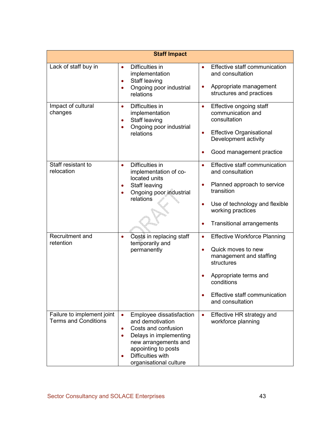|                                                           | <b>Staff Impact</b>                                                                                                                                                                                                                       |                                                                                                                                                                                                                          |
|-----------------------------------------------------------|-------------------------------------------------------------------------------------------------------------------------------------------------------------------------------------------------------------------------------------------|--------------------------------------------------------------------------------------------------------------------------------------------------------------------------------------------------------------------------|
| Lack of staff buy in                                      | Difficulties in<br>$\bullet$<br>implementation<br>Staff leaving<br>$\bullet$<br>Ongoing poor industrial<br>$\bullet$<br>relations                                                                                                         | Effective staff communication<br>and consultation<br>Appropriate management<br>structures and practices                                                                                                                  |
| Impact of cultural<br>changes                             | Difficulties in<br>$\bullet$<br>implementation<br>Staff leaving<br>$\bullet$<br>Ongoing poor industrial<br>$\bullet$<br>relations                                                                                                         | Effective ongoing staff<br>$\bullet$<br>communication and<br>consultation<br><b>Effective Organisational</b><br>$\bullet$<br>Development activity<br>Good management practice                                            |
| Staff resistant to<br>relocation                          | Difficulties in<br>$\bullet$<br>implementation of co-<br>located units<br>Staff leaving<br>$\bullet$<br>Ongoing poor industrial<br>$\bullet$<br>relations                                                                                 | Effective staff communication<br>$\bullet$<br>and consultation<br>Planned approach to service<br>transition<br>Use of technology and flexible<br>working practices<br><b>Transitional arrangements</b>                   |
| Recruitment and<br>retention                              | Costs in replacing staff<br>$\bullet$<br>temporarily and<br>permanently                                                                                                                                                                   | <b>Effective Workforce Planning</b><br>$\bullet$<br>Quick moves to new<br>$\bullet$<br>management and staffing<br>structures<br>Appropriate terms and<br>conditions<br>Effective staff communication<br>and consultation |
| Failure to implement joint<br><b>Terms and Conditions</b> | Employee dissatisfaction<br>$\bullet$<br>and demotivation<br>Costs and confusion<br>$\bullet$<br>Delays in implementing<br>new arrangements and<br>appointing to posts<br><b>Difficulties with</b><br>$\bullet$<br>organisational culture | Effective HR strategy and<br>$\bullet$<br>workforce planning                                                                                                                                                             |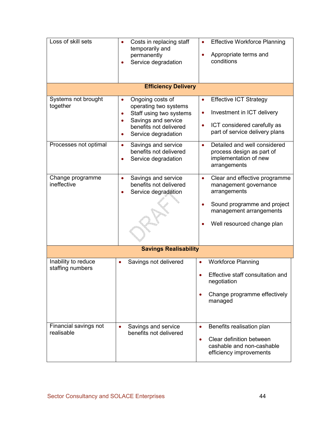| Loss of skill sets                                       | Costs in replacing staff<br>temporarily and<br>permanently<br>Service degradation                                                                                                                                                              | <b>Effective Workforce Planning</b><br>Appropriate terms and<br>conditions                                                                                                                                                                      |  |
|----------------------------------------------------------|------------------------------------------------------------------------------------------------------------------------------------------------------------------------------------------------------------------------------------------------|-------------------------------------------------------------------------------------------------------------------------------------------------------------------------------------------------------------------------------------------------|--|
|                                                          | <b>Efficiency Delivery</b>                                                                                                                                                                                                                     |                                                                                                                                                                                                                                                 |  |
| Systems not brought<br>together<br>Processes not optimal | Ongoing costs of<br>operating two systems<br>Staff using two systems<br>Savings and service<br>$\bullet$<br>benefits not delivered<br>Service degradation<br>Savings and service<br>$\bullet$<br>benefits not delivered<br>Service degradation | <b>Effective ICT Strategy</b><br>Investment in ICT delivery<br>ICT considered carefully as<br>part of service delivery plans<br>Detailed and well considered<br>$\bullet$<br>process design as part of<br>implementation of new<br>arrangements |  |
| Change programme<br>ineffective                          | Savings and service<br>$\bullet$<br>benefits not delivered<br>Service degradation                                                                                                                                                              | Clear and effective programme<br>$\bullet$<br>management governance<br>arrangements<br>Sound programme and project<br>management arrangements<br>Well resourced change plan                                                                     |  |
|                                                          | <b>Savings Realisability</b>                                                                                                                                                                                                                   |                                                                                                                                                                                                                                                 |  |
| Inability to reduce<br>staffing numbers                  | Savings not delivered                                                                                                                                                                                                                          | <b>Workforce Planning</b><br>$\bullet$<br>Effective staff consultation and<br>negotiation<br>Change programme effectively<br>$\bullet$<br>managed                                                                                               |  |
| Financial savings not<br>realisable                      | Savings and service<br>$\bullet$<br>benefits not delivered                                                                                                                                                                                     | Benefits realisation plan<br>$\bullet$<br>Clear definition between<br>$\bullet$<br>cashable and non-cashable<br>efficiency improvements                                                                                                         |  |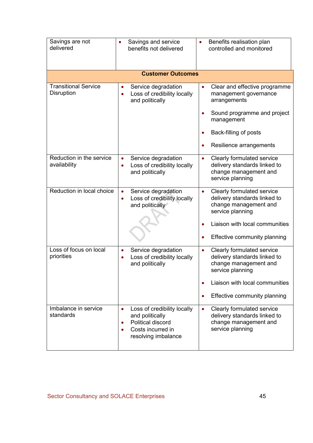| Savings are not<br>delivered              | Savings and service<br>benefits not delivered                                                                                                          | Benefits realisation plan<br>$\bullet$<br>controlled and monitored                                                                                                                                |
|-------------------------------------------|--------------------------------------------------------------------------------------------------------------------------------------------------------|---------------------------------------------------------------------------------------------------------------------------------------------------------------------------------------------------|
|                                           | <b>Customer Outcomes</b>                                                                                                                               |                                                                                                                                                                                                   |
| <b>Transitional Service</b><br>Disruption | Service degradation<br>Loss of credibility locally<br>$\bullet$<br>and politically                                                                     | Clear and effective programme<br>$\bullet$<br>management governance<br>arrangements<br>Sound programme and project<br>management<br>Back-filling of posts<br>$\bullet$<br>Resilience arrangements |
| Reduction in the service<br>availability  | Service degradation<br>$\bullet$<br>Loss of credibility locally<br>and politically                                                                     | Clearly formulated service<br>$\bullet$<br>delivery standards linked to<br>change management and<br>service planning                                                                              |
| Reduction in local choice                 | Service degradation<br>$\bullet$<br>Loss of credibility locally<br>$\bullet$<br>and politically                                                        | Clearly formulated service<br>$\bullet$<br>delivery standards linked to<br>change management and<br>service planning<br>Liaison with local communities<br>Effective community planning            |
| Loss of focus on local<br>priorities      | Service degradation<br>$\bullet$<br>Loss of credibility locally<br>$\bullet$<br>and politically                                                        | Clearly formulated service<br>$\bullet$<br>delivery standards linked to<br>change management and<br>service planning<br>Liaison with local communities<br>Effective community planning            |
| Imbalance in service<br>standards         | Loss of credibility locally<br>$\bullet$<br>and politically<br>Political discord<br>$\bullet$<br>Costs incurred in<br>$\bullet$<br>resolving imbalance | Clearly formulated service<br>$\bullet$<br>delivery standards linked to<br>change management and<br>service planning                                                                              |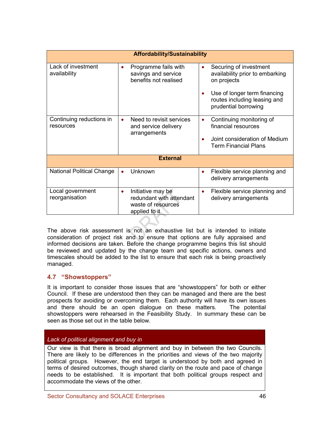|                                       | <b>Affordability/Sustainability</b> |                                                                                      |           |                                                                                                                 |  |  |  |
|---------------------------------------|-------------------------------------|--------------------------------------------------------------------------------------|-----------|-----------------------------------------------------------------------------------------------------------------|--|--|--|
| Lack of investment<br>availability    |                                     | Programme fails with<br>savings and service<br>benefits not realised                 | $\bullet$ | Securing of investment<br>availability prior to embarking<br>on projects                                        |  |  |  |
|                                       |                                     |                                                                                      | $\bullet$ | Use of longer term financing<br>routes including leasing and<br>prudential borrowing                            |  |  |  |
| Continuing reductions in<br>resources |                                     | Need to revisit services<br>and service delivery<br>arrangements                     | $\bullet$ | Continuing monitoring of<br>financial resources<br>Joint consideration of Medium<br><b>Term Financial Plans</b> |  |  |  |
|                                       |                                     | <b>External</b>                                                                      |           |                                                                                                                 |  |  |  |
| <b>National Political Change</b>      |                                     | Unknown                                                                              | $\bullet$ | Flexible service planning and<br>delivery arrangements                                                          |  |  |  |
| Local government<br>reorganisation    |                                     | Initiative may be<br>redundant with attendant<br>waste of resources<br>applied to it | $\bullet$ | Flexible service planning and<br>delivery arrangements                                                          |  |  |  |

The above risk assessment is not an exhaustive list but is intended to initiate consideration of project risk and to ensure that options are fully appraised and informed decisions are taken. Before the change programme begins this list should be reviewed and updated by the change team and specific actions, owners and timescales should be added to the list to ensure that each risk is being proactively managed.

# 4.7 "Showstoppers"

It is important to consider those issues that are "showstoppers" for both or either Council. If these are understood then they can be managed and there are the best prospects for avoiding or overcoming them. Each authority will have its own issues and there should be an open dialogue on these matters. The potential showstoppers were rehearsed in the Feasibility Study. In summary these can be seen as those set out in the table below.

# Lack of political alignment and buy in

Our view is that there is broad alignment and buy in between the two Councils. There are likely to be differences in the priorities and views of the two majority political groups. However, the end target is understood by both and agreed in terms of desired outcomes, though shared clarity on the route and pace of change needs to be established. It is important that both political groups respect and accommodate the views of the other.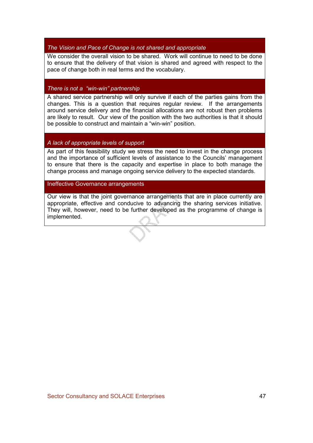### The Vision and Pace of Change is not shared and appropriate

We consider the overall vision to be shared. Work will continue to need to be done to ensure that the delivery of that vision is shared and agreed with respect to the pace of change both in real terms and the vocabulary.

## There is not a "win-win" partnership

A shared service partnership will only survive if each of the parties gains from the changes. This is a question that requires regular review. If the arrangements around service delivery and the financial allocations are not robust then problems are likely to result. Our view of the position with the two authorities is that it should be possible to construct and maintain a "win-win" position.

### A lack of appropriate levels of support

As part of this feasibility study we stress the need to invest in the change process and the importance of sufficient levels of assistance to the Councils' management to ensure that there is the capacity and expertise in place to both manage the change process and manage ongoing service delivery to the expected standards.

### Ineffective Governance arrangements

Our view is that the joint governance arrangements that are in place currently are appropriate, effective and conducive to advancing the sharing services initiative. They will, however, need to be further developed as the programme of change is implemented.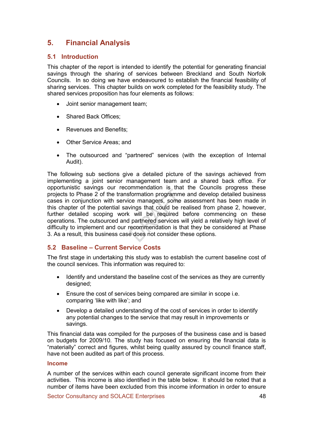# 5. Financial Analysis

# 5.1 Introduction

This chapter of the report is intended to identify the potential for generating financial savings through the sharing of services between Breckland and South Norfolk Councils. In so doing we have endeavoured to establish the financial feasibility of sharing services. This chapter builds on work completed for the feasibility study. The shared services proposition has four elements as follows:

- Joint senior management team;
- Shared Back Offices:
- Revenues and Benefits;
- Other Service Areas; and
- The outsourced and "partnered" services (with the exception of Internal Audit).

The following sub sections give a detailed picture of the savings achieved from implementing a joint senior management team and a shared back office. For opportunistic savings our recommendation is that the Councils progress these projects to Phase 2 of the transformation programme and develop detailed business cases in conjunction with service managers, some assessment has been made in this chapter of the potential savings that could be realised from phase 2, however, further detailed scoping work will be required before commencing on these operations. The outsourced and partnered services will yield a relatively high level of difficulty to implement and our recommendation is that they be considered at Phase 3. As a result, this business case does not consider these options.

# 5.2 Baseline – Current Service Costs

The first stage in undertaking this study was to establish the current baseline cost of the council services. This information was required to:

- Identify and understand the baseline cost of the services as they are currently designed;
- Ensure the cost of services being compared are similar in scope i.e. comparing 'like with like'; and
- Develop a detailed understanding of the cost of services in order to identify any potential changes to the service that may result in improvements or savings.

This financial data was compiled for the purposes of the business case and is based on budgets for 2009/10. The study has focused on ensuring the financial data is "materially" correct and figures, whilst being quality assured by council finance staff, have not been audited as part of this process.

#### Income

A number of the services within each council generate significant income from their activities. This income is also identified in the table below. It should be noted that a number of items have been excluded from this income information in order to ensure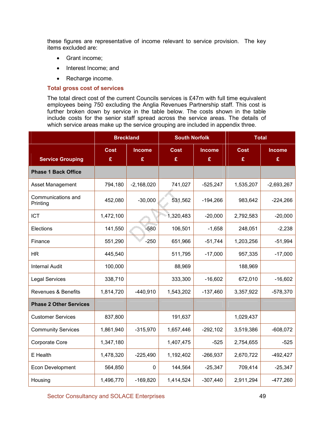these figures are representative of income relevant to service provision. The key items excluded are:

- Grant income;
- Interest Income; and
- Recharge income.

#### Total gross cost of services

The total direct cost of the current Councils services is £47m with full time equivalent employees being 750 excluding the Anglia Revenues Partnership staff. This cost is further broken down by service in the table below. The costs shown in the table include costs for the senior staff spread across the service areas. The details of which service areas make up the service grouping are included in appendix three.

|                                |             | <b>Breckland</b> | <b>South Norfolk</b> |               | <b>Total</b> |               |
|--------------------------------|-------------|------------------|----------------------|---------------|--------------|---------------|
|                                | <b>Cost</b> | <b>Income</b>    | <b>Cost</b>          | <b>Income</b> | <b>Cost</b>  | <b>Income</b> |
| <b>Service Grouping</b>        | £           | £                | £                    | £             | £            | £             |
| <b>Phase 1 Back Office</b>     |             |                  |                      |               |              |               |
| Asset Management               | 794,180     | $-2,168,020$     | 741,027              | $-525,247$    | 1,535,207    | $-2,693,267$  |
| Communications and<br>Printing | 452,080     | $-30,000$        | 531,562              | $-194,266$    | 983,642      | $-224,266$    |
| <b>ICT</b>                     | 1,472,100   |                  | 1,320,483            | $-20,000$     | 2,792,583    | $-20,000$     |
| Elections                      | 141,550     | $-580$           | 106,501              | $-1,658$      | 248,051      | $-2,238$      |
| Finance                        | 551,290     | $-250$           | 651,966              | $-51,744$     | 1,203,256    | $-51,994$     |
| <b>HR</b>                      | 445,540     |                  | 511,795              | $-17,000$     | 957,335      | $-17,000$     |
| <b>Internal Audit</b>          | 100,000     |                  | 88,969               |               | 188,969      |               |
| <b>Legal Services</b>          | 338,710     |                  | 333,300              | $-16,602$     | 672,010      | $-16,602$     |
| <b>Revenues &amp; Benefits</b> | 1,814,720   | $-440,910$       | 1,543,202            | $-137,460$    | 3,357,922    | $-578,370$    |
| <b>Phase 2 Other Services</b>  |             |                  |                      |               |              |               |
| <b>Customer Services</b>       | 837,800     |                  | 191,637              |               | 1,029,437    |               |
| <b>Community Services</b>      | 1,861,940   | $-315,970$       | 1,657,446            | $-292,102$    | 3,519,386    | $-608,072$    |
| Corporate Core                 | 1,347,180   |                  | 1,407,475            | $-525$        | 2,754,655    | $-525$        |
| E Health                       | 1,478,320   | $-225,490$       | 1,192,402            | $-266,937$    | 2,670,722    | $-492,427$    |
| Econ Development               | 564,850     | 0                | 144,564              | $-25,347$     | 709,414      | $-25,347$     |
| Housing                        | 1,496,770   | $-169,820$       | 1,414,524            | $-307,440$    | 2,911,294    | $-477,260$    |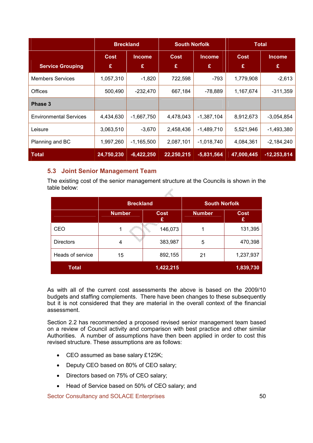|                               | <b>Breckland</b> |                    | <b>South Norfolk</b> |                    | <b>Total</b>     |                    |
|-------------------------------|------------------|--------------------|----------------------|--------------------|------------------|--------------------|
| <b>Service Grouping</b>       | <b>Cost</b><br>£ | <b>Income</b><br>£ | Cost<br>£            | <b>Income</b><br>£ | <b>Cost</b><br>£ | <b>Income</b><br>£ |
| <b>Members Services</b>       | 1,057,310        | $-1,820$           | 722,598              | -793               | 1,779,908        | $-2,613$           |
| Offices                       | 500,490          | $-232,470$         | 667,184              | -78,889            | 1,167,674        | $-311,359$         |
| Phase 3                       |                  |                    |                      |                    |                  |                    |
| <b>Environmental Services</b> | 4,434,630        | $-1,667,750$       | 4,478,043            | $-1,387,104$       | 8,912,673        | $-3,054,854$       |
| Leisure                       | 3,063,510        | $-3,670$           | 2,458,436            | $-1,489,710$       | 5,521,946        | $-1,493,380$       |
| Planning and BC               | 1,997,260        | $-1,165,500$       | 2,087,101            | $-1,018,740$       | 4,084,361        | $-2,184,240$       |
| <b>Total</b>                  | 24,750,230       | $-6,422,250$       | 22,250,215           | $-5,831,564$       | 47,000,445       | $-12,253,814$      |

# 5.3 Joint Senior Management Team

The existing cost of the senior management structure at the Councils is shown in the table below:  $\mathbb{R}$ 

|                  | <b>Breckland</b> |                  | <b>South Norfolk</b> |                  |
|------------------|------------------|------------------|----------------------|------------------|
|                  | <b>Number</b>    | <b>Cost</b><br>£ | <b>Number</b>        | <b>Cost</b><br>£ |
| <b>CEO</b>       | 1                | 146,073          |                      | 131,395          |
| <b>Directors</b> | 4                | 383,987          | 5                    | 470,398          |
| Heads of service | 15               | 892,155          | 21                   | 1,237,937        |
| <b>Total</b>     |                  | 1,422,215        |                      | 1,839,730        |

As with all of the current cost assessments the above is based on the 2009/10 budgets and staffing complements. There have been changes to these subsequently but it is not considered that they are material in the overall context of the financial assessment.

Section 2.2 has recommended a proposed revised senior management team based on a review of Council activity and comparison with best practice and other similar Authorities. A number of assumptions have then been applied in order to cost this revised structure. These assumptions are as follows:

- CEO assumed as base salary £125K;
- Deputy CEO based on 80% of CEO salary;
- Directors based on 75% of CEO salary;
- Head of Service based on 50% of CEO salary; and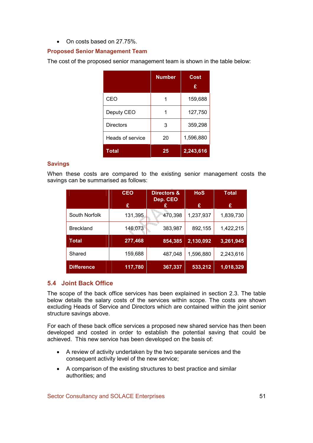### • On costs based on 27.75%.

## Proposed Senior Management Team

The cost of the proposed senior management team is shown in the table below:

|                  | <b>Number</b> | Cost<br>£ |
|------------------|---------------|-----------|
| CEO              |               | 159,688   |
| Deputy CEO       |               | 127,750   |
| Directors        | 3             | 359,298   |
| Heads of service | 20            | 1,596,880 |
| <b>Total</b>     | 25            | 2,243,616 |

### Savings

When these costs are compared to the existing senior management costs the savings can be summarised as follows:

|                   | <b>CEO</b> | Directors &<br>Dep. CEO | <b>HoS</b> | <b>Total</b> |
|-------------------|------------|-------------------------|------------|--------------|
|                   | £          |                         | £          | £            |
| South Norfolk     | 131,395    | 470,398                 | 1,237,937  | 1,839,730    |
| <b>Breckland</b>  | 146,073    | 383,987                 | 892,155    | 1,422,215    |
| Total             | 277,468    | 854,385                 | 2,130,092  | 3,261,945    |
| Shared            | 159,688    | 487,048                 | 1,596,880  | 2,243,616    |
| <b>Difference</b> | 117,780    | 367,337                 | 533,212    | 1,018,329    |

# 5.4 Joint Back Office

The scope of the back office services has been explained in section 2.3. The table below details the salary costs of the services within scope. The costs are shown excluding Heads of Service and Directors which are contained within the joint senior structure savings above.

For each of these back office services a proposed new shared service has then been developed and costed in order to establish the potential saving that could be achieved. This new service has been developed on the basis of:

- A review of activity undertaken by the two separate services and the consequent activity level of the new service;
- A comparison of the existing structures to best practice and similar authorities; and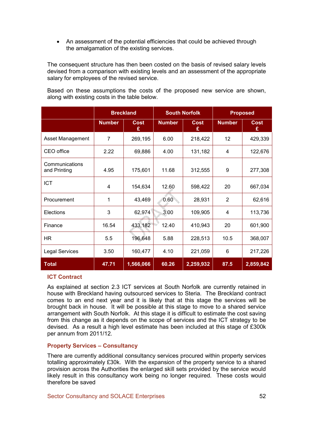• An assessment of the potential efficiencies that could be achieved through the amalgamation of the existing services.

The consequent structure has then been costed on the basis of revised salary levels devised from a comparison with existing levels and an assessment of the appropriate salary for employees of the revised service.

Based on these assumptions the costs of the proposed new service are shown, along with existing costs in the table below.

|                                |                | <b>Breckland</b>           |               | <b>South Norfolk</b> |                | <b>Proposed</b>  |
|--------------------------------|----------------|----------------------------|---------------|----------------------|----------------|------------------|
|                                | <b>Number</b>  | <b>Cost</b><br>£           | <b>Number</b> | <b>Cost</b><br>£     | <b>Number</b>  | <b>Cost</b><br>£ |
| Asset Management               | $\overline{7}$ | 269,195<br>6.00<br>218,422 |               |                      |                | 429,339          |
| CEO office                     | 2.22           | 69,886                     | 4.00          | 131,182              | 4              | 122,676          |
| Communications<br>and Printing | 4.95           | 175,601                    | 11.68         | 312,555              | 9              | 277,308          |
| <b>ICT</b>                     | 4              | 154,634                    | 12.60         | 598,422              | 20             | 667,034          |
| Procurement                    | 1              | 43,469                     | 0.60          | 28,931               | $\overline{2}$ | 62,616           |
| Elections                      | 3              | 62,974                     | 3.00          | 109,905              | 4              | 113,736          |
| Finance                        | 16.54          | 433,182                    | 12.40         | 410,943              | 20             | 601,900          |
| HR.                            | 5.5            | 196,648                    | 5.88          | 228,513              | 10.5           | 368,007          |
| <b>Legal Services</b>          | 3.50           | 160,477                    | 4.10          | 221,059              | 6              | 217,226          |
| <b>Total</b>                   | 47.71          | 1,566,066                  | 60.26         | 2,259,932            | 87.5           | 2,859,842        |

#### ICT Contract

As explained at section 2.3 ICT services at South Norfolk are currently retained in house with Breckland having outsourced services to Steria. The Breckland contract comes to an end next year and it is likely that at this stage the services will be brought back in house. It will be possible at this stage to move to a shared service arrangement with South Norfolk. At this stage it is difficult to estimate the cost saving from this change as it depends on the scope of services and the ICT strategy to be devised. As a result a high level estimate has been included at this stage of £300k per annum from 2011/12.

#### Property Services – Consultancy

There are currently additional consultancy services procured within property services totalling approximately £30k. With the expansion of the property service to a shared provision across the Authorities the enlarged skill sets provided by the service would likely result in this consultancy work being no longer required. These costs would therefore be saved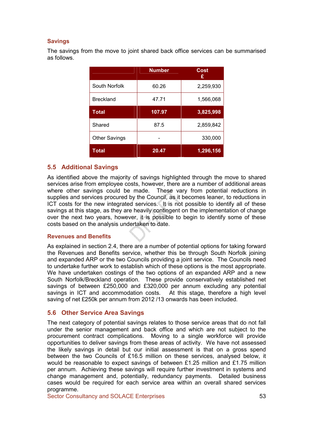### Savings

The savings from the move to joint shared back office services can be summarised as follows.

|                      | <b>Number</b> | Cost<br>£ |
|----------------------|---------------|-----------|
| South Norfolk        | 60.26         | 2,259,930 |
| <b>Breckland</b>     | 47.71         | 1,566,068 |
| Total                | 107.97        | 3,825,998 |
| Shared               | 87.5          | 2,859,842 |
| <b>Other Savings</b> |               | 330,000   |
| Total                | 20.47         | 1,296,156 |

### 5.5 Additional Savings

As identified above the majority of savings highlighted through the move to shared services arise from employee costs, however, there are a number of additional areas where other savings could be made. These vary from potential reductions in supplies and services procured by the Council, as it becomes leaner, to reductions in ICT costs for the new integrated services. It is not possible to identify all of these savings at this stage, as they are heavily contingent on the implementation of change over the next two years, however, it is possible to begin to identify some of these costs based on the analysis undertaken to date.

#### Revenues and Benefits

As explained in section 2.4, there are a number of potential options for taking forward the Revenues and Benefits service, whether this be through South Norfolk joining and expanded ARP or the two Councils providing a joint service. The Councils need to undertake further work to establish which of these options is the most appropriate. We have undertaken costings of the two options of an expanded ARP and a new South Norfolk/Breckland operation. These provide conservatively established net savings of between £250,000 and £320,000 per annum excluding any potential savings in ICT and accommodation costs. At this stage, therefore a high level saving of net £250k per annum from 2012 /13 onwards has been included.

### 5.6 Other Service Area Savings

The next category of potential savings relates to those service areas that do not fall under the senior management and back office and which are not subject to the procurement contract complications. Moving to a single workforce will provide opportunities to deliver savings from these areas of activity. We have not assessed the likely savings in detail but our initial assessment is that on a gross spend between the two Councils of £16.5 million on these services, analysed below, it would be reasonable to expect savings of between £1.25 million and £1.75 million per annum. Achieving these savings will require further investment in systems and change management and, potentially, redundancy payments. Detailed business cases would be required for each service area within an overall shared services programme.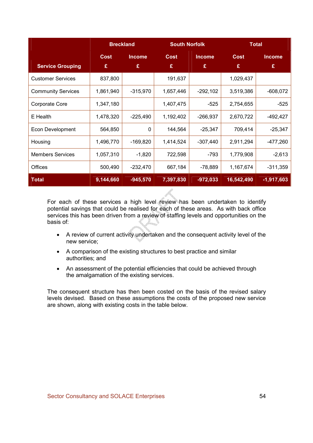|                           | <b>Breckland</b> |               | <b>South Norfolk</b> |            | <b>Total</b> |               |
|---------------------------|------------------|---------------|----------------------|------------|--------------|---------------|
|                           | <b>Cost</b>      | <b>Income</b> | <b>Cost</b>          | Income     | <b>Cost</b>  | <b>Income</b> |
| <b>Service Grouping</b>   | £                | £             | £                    | £          | £            | £             |
| <b>Customer Services</b>  | 837,800          |               | 191,637              |            | 1,029,437    |               |
| <b>Community Services</b> | 1,861,940        | $-315,970$    | 1,657,446            | $-292,102$ | 3,519,386    | -608,072      |
| Corporate Core            | 1,347,180        |               | 1,407,475            | -525       | 2,754,655    | $-525$        |
| E Health                  | 1,478,320        | $-225,490$    | 1,192,402            | $-266,937$ | 2,670,722    | -492,427      |
| <b>Econ Development</b>   | 564,850          | $\mathbf 0$   | 144,564              | $-25,347$  | 709,414      | $-25,347$     |
| Housing                   | 1,496,770        | $-169,820$    | 1,414,524            | $-307,440$ | 2,911,294    | $-477,260$    |
| <b>Members Services</b>   | 1,057,310        | $-1,820$      | 722,598              | $-793$     | 1,779,908    | $-2,613$      |
| <b>Offices</b>            | 500,490          | $-232,470$    | 667,184              | $-78,889$  | 1,167,674    | $-311,359$    |
| <b>Total</b>              | 9,144,660        | $-945,570$    | 7,397,830            | $-972,033$ | 16,542,490   | $-1,917,603$  |

For each of these services a high level review has been undertaken to identify potential savings that could be realised for each of these areas. As with back office services this has been driven from a review of staffing levels and opportunities on the basis of:

- A review of current activity undertaken and the consequent activity level of the new service;
- A comparison of the existing structures to best practice and similar authorities; and
- An assessment of the potential efficiencies that could be achieved through the amalgamation of the existing services.

The consequent structure has then been costed on the basis of the revised salary levels devised. Based on these assumptions the costs of the proposed new service are shown, along with existing costs in the table below.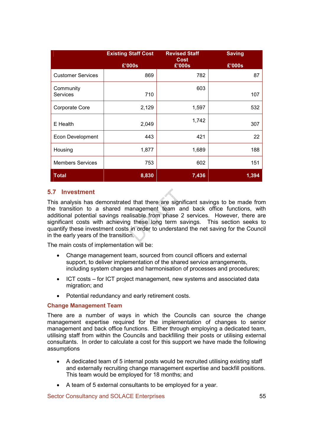|                              | <b>Existing Staff Cost</b> | <b>Revised Staff</b><br><b>Cost</b> | <b>Saving</b> |
|------------------------------|----------------------------|-------------------------------------|---------------|
|                              | £'000s                     | £'000s                              | £'000s        |
| <b>Customer Services</b>     | 869                        | 782                                 | 87            |
| Community<br><b>Services</b> | 710                        | 603                                 | 107           |
| Corporate Core               | 2,129                      | 1,597                               | 532           |
| E Health                     | 2,049                      | 1,742                               | 307           |
| <b>Econ Development</b>      | 443                        | 421                                 | 22            |
| Housing                      | 1,877                      | 1,689                               | 188           |
| <b>Members Services</b>      | 753                        | 602                                 | 151           |
| <b>Total</b>                 | 8,830                      | 7,436                               | 1,394         |

## 5.7 Investment

This analysis has demonstrated that there are significant savings to be made from the transition to a shared management team and back office functions, with additional potential savings realisable from phase 2 services. However, there are significant costs with achieving these long term savings. This section seeks to quantify these investment costs in order to understand the net saving for the Council in the early years of the transition.

The main costs of implementation will be:

- Change management team, sourced from council officers and external support, to deliver implementation of the shared service arrangements, including system changes and harmonisation of processes and procedures;
- ICT costs for ICT project management, new systems and associated data migration; and
- Potential redundancy and early retirement costs.

### Change Management Team

There are a number of ways in which the Councils can source the change management expertise required for the implementation of changes to senior management and back office functions. Either through employing a dedicated team, utilising staff from within the Councils and backfilling their posts or utilising external consultants. In order to calculate a cost for this support we have made the following assumptions

- A dedicated team of 5 internal posts would be recruited utilising existing staff and externally recruiting change management expertise and backfill positions. This team would be employed for 18 months; and
- A team of 5 external consultants to be employed for a year.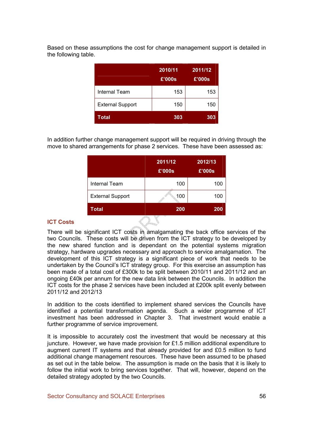Based on these assumptions the cost for change management support is detailed in the following table.

|                         | 2010/11<br>£'000s | 2011/12<br>£'000s |
|-------------------------|-------------------|-------------------|
| <b>Internal Team</b>    | 153               | 153               |
| <b>External Support</b> | 150               | 150               |
| Total                   | 303               | 303               |

In addition further change management support will be required in driving through the move to shared arrangements for phase 2 services. These have been assessed as:

|                         | 2011/12<br>£'000s | 2012/13<br>£'000s |
|-------------------------|-------------------|-------------------|
| <b>Internal Team</b>    | 100               | 100               |
| <b>External Support</b> | 100               | 100               |
| Total                   | 200<br>w          | 200               |

### ICT Costs

There will be significant ICT costs in amalgamating the back office services of the two Councils. These costs will be driven from the ICT strategy to be developed by the new shared function and is dependant on the potential systems migration strategy, hardware upgrades necessary and approach to service amalgamation. The development of this ICT strategy is a significant piece of work that needs to be undertaken by the Council's ICT strategy group. For this exercise an assumption has been made of a total cost of £300k to be split between 2010/11 and 2011/12 and an ongoing £40k per annum for the new data link between the Councils. In addition the ICT costs for the phase 2 services have been included at £200k split evenly between 2011/12 and 2012/13

In addition to the costs identified to implement shared services the Councils have identified a potential transformation agenda. Such a wider programme of ICT investment has been addressed in Chapter 3. That investment would enable a further programme of service improvement.

It is impossible to accurately cost the investment that would be necessary at this juncture. However, we have made provision for £1.5 million additional expenditure to augment current IT systems and that already provided for and £0.5 million to fund additional change management resources. These have been assumed to be phased as set out in the table below. The assumption is made on the basis that it is likely to follow the initial work to bring services together. That will, however, depend on the detailed strategy adopted by the two Councils.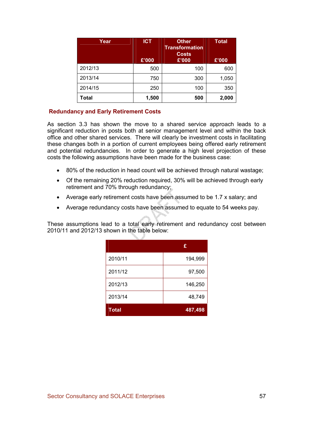| Year    | <b>ICT</b><br>£'000 | <b>Other</b><br><b>Transformation</b><br><b>Costs</b><br>£'000 | <b>Total</b><br>£'000 |
|---------|---------------------|----------------------------------------------------------------|-----------------------|
| 2012/13 | 500                 | 100                                                            | 600                   |
| 2013/14 | 750                 | 300                                                            | 1,050                 |
| 2014/15 | 250                 | 100                                                            | 350                   |
| Total   | 1,500               | 500                                                            | 2,000                 |

### Redundancy and Early Retirement Costs

As section 3.3 has shown the move to a shared service approach leads to a significant reduction in posts both at senior management level and within the back office and other shared services. There will clearly be investment costs in facilitating these changes both in a portion of current employees being offered early retirement and potential redundancies. In order to generate a high level projection of these costs the following assumptions have been made for the business case:

- 80% of the reduction in head count will be achieved through natural wastage;
- Of the remaining 20% reduction required, 30% will be achieved through early retirement and 70% through redundancy;
- Average early retirement costs have been assumed to be 1.7 x salary; and
- Average redundancy costs have been assumed to equate to 54 weeks pay.

These assumptions lead to a total early retirement and redundancy cost between 2010/11 and 2012/13 shown in the table below:

|              | £       |
|--------------|---------|
| 2010/11      | 194,999 |
| 2011/12      | 97,500  |
| 2012/13      | 146,250 |
| 2013/14      | 48,749  |
| <b>Total</b> | 487,498 |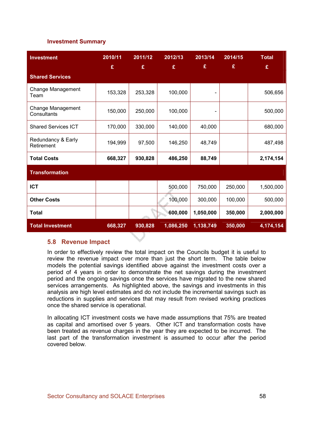### Investment Summary

| <b>Investment</b>                | 2010/11<br>£ | 2011/12<br>£ | 2012/13<br>£ | 2013/14<br>£ | 2014/15<br>£ | <b>Total</b><br>£ |
|----------------------------------|--------------|--------------|--------------|--------------|--------------|-------------------|
| <b>Shared Services</b>           |              |              |              |              |              |                   |
| Change Management<br>Team        | 153,328      | 253,328      | 100,000      |              |              | 506,656           |
| Change Management<br>Consultants | 150,000      | 250,000      | 100,000      |              |              | 500,000           |
| <b>Shared Services ICT</b>       | 170,000      | 330,000      | 140,000      | 40,000       |              | 680,000           |
| Redundancy & Early<br>Retirement | 194,999      | 97,500       | 146,250      | 48,749       |              | 487,498           |
| <b>Total Costs</b>               | 668,327      | 930,828      | 486,250      | 88,749       |              | 2,174,154         |
| <b>Transformation</b>            |              |              |              |              |              |                   |
| <b>ICT</b>                       |              |              | 500,000      | 750,000      | 250,000      | 1,500,000         |
| <b>Other Costs</b>               |              |              | 100,000      | 300,000      | 100,000      | 500,000           |
| <b>Total</b>                     |              |              | 600,000      | 1,050,000    | 350,000      | 2,000,000         |
| <b>Total Investment</b>          | 668,327      | 930,828      | 1,086,250    | 1,138,749    | 350,000      | 4,174,154         |

### 5.8 Revenue Impact

In order to effectively review the total impact on the Councils budget it is useful to review the revenue impact over more than just the short term. The table below models the potential savings identified above against the investment costs over a period of 4 years in order to demonstrate the net savings during the investment period and the ongoing savings once the services have migrated to the new shared services arrangements. As highlighted above, the savings and investments in this analysis are high level estimates and do not include the incremental savings such as reductions in supplies and services that may result from revised working practices once the shared service is operational.

In allocating ICT investment costs we have made assumptions that 75% are treated as capital and amortised over 5 years. Other ICT and transformation costs have been treated as revenue charges in the year they are expected to be incurred. The last part of the transformation investment is assumed to occur after the period covered below.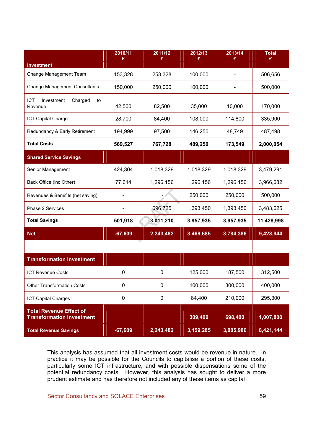|                                               | 2010/11<br>£ | 2011/12<br>£ | 2012/13<br>£ | 2013/14<br>£ | <b>Total</b><br>£ |
|-----------------------------------------------|--------------|--------------|--------------|--------------|-------------------|
| Investment                                    |              |              |              |              |                   |
| Change Management Team                        | 153,328      | 253,328      | 100,000      |              | 506,656           |
| <b>Change Management Consultants</b>          | 150,000      | 250,000      | 100,000      |              | 500,000           |
| ICT<br>Investment<br>Charged<br>to<br>Revenue | 42,500       | 82,500       | 35,000       | 10,000       | 170,000           |
| ICT Capital Charge                            | 28,700       | 84,400       | 108,000      | 114,800      | 335,900           |
| Redundancy & Early Retirement                 | 194,999      | 97,500       | 146,250      | 48,749       | 487,498           |
| <b>Total Costs</b>                            | 569,527      | 767,728      | 489,250      | 173,549      | 2,000,054         |
| <b>Shared Service Savings</b>                 |              |              |              |              |                   |
| Senior Management                             | 424,304      | 1,018,329    | 1,018,329    | 1,018,329    | 3,479,291         |
| Back Office (inc Other)                       | 77,614       | 1,296,156    | 1,296,156    | 1,296,156    | 3,966,082         |
| Revenues & Benefits (net saving)              |              |              | 250,000      | 250,000      | 500,000           |
| Phase 2 Services                              |              | 696,725      | 1,393,450    | 1,393,450    | 3,483,625         |
| <b>Total Savings</b>                          | 501,918      | 3,011,210    | 3,957,935    | 3,957,935    | 11,428,998        |
| <b>Net</b>                                    | $-67,609$    | 2,243,482    | 3,468,685    | 3,784,386    | 9,428,944         |
|                                               |              |              |              |              |                   |
| <b>Transformation Investment</b>              |              |              |              |              |                   |
| <b>ICT Revenue Costs</b>                      | $\mathbf 0$  | $\mathbf 0$  | 125,000      | 187,500      | 312,500           |
| <b>Other Transformation Costs</b>             | 0            | 0            | 100,000      | 300,000      | 400,000           |
| <b>ICT Capital Charges</b>                    | $\pmb{0}$    | $\pmb{0}$    | 84,400       | 210,900      | 295,300           |
| <b>Total Revenue Effect of</b>                |              |              |              |              |                   |
| <b>Transformation Investment</b>              |              |              | 309,400      | 698,400      | 1,007,800         |
| <b>Total Revenue Savings</b>                  | $-67,609$    | 2,243,482    | 3,159,285    | 3,085,986    | 8,421,144         |

This analysis has assumed that all investment costs would be revenue in nature. In practice it may be possible for the Councils to capitalise a portion of these costs, particularly some ICT infrastructure, and with possible dispensations some of the potential redundancy costs. However, this analysis has sought to deliver a more prudent estimate and has therefore not included any of these items as capital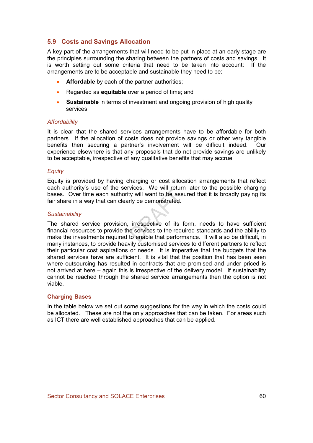# 5.9 Costs and Savings Allocation

A key part of the arrangements that will need to be put in place at an early stage are the principles surrounding the sharing between the partners of costs and savings. It is worth setting out some criteria that need to be taken into account: If the arrangements are to be acceptable and sustainable they need to be:

- Affordable by each of the partner authorities:
- Regarded as **equitable** over a period of time; and
- Sustainable in terms of investment and ongoing provision of high quality services.

#### **Affordability**

It is clear that the shared services arrangements have to be affordable for both partners. If the allocation of costs does not provide savings or other very tangible benefits then securing a partner's involvement will be difficult indeed. Our experience elsewhere is that any proposals that do not provide savings are unlikely to be acceptable, irrespective of any qualitative benefits that may accrue.

### **Equity**

Equity is provided by having charging or cost allocation arrangements that reflect each authority's use of the services. We will return later to the possible charging bases. Over time each authority will want to be assured that it is broadly paying its fair share in a way that can clearly be demonstrated.

### **Sustainability**

The shared service provision, irrespective of its form, needs to have sufficient financial resources to provide the services to the required standards and the ability to make the investments required to enable that performance. It will also be difficult, in many instances, to provide heavily customised services to different partners to reflect their particular cost aspirations or needs. It is imperative that the budgets that the shared services have are sufficient. It is vital that the position that has been seen where outsourcing has resulted in contracts that are promised and under priced is not arrived at here – again this is irrespective of the delivery model. If sustainability cannot be reached through the shared service arrangements then the option is not viable.

#### Charging Bases

In the table below we set out some suggestions for the way in which the costs could be allocated. These are not the only approaches that can be taken. For areas such as ICT there are well established approaches that can be applied.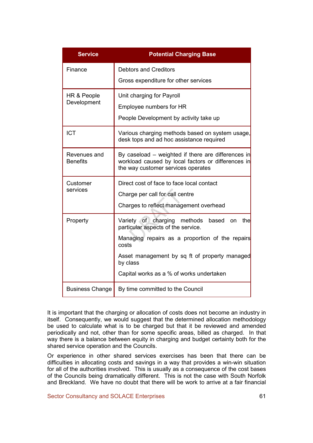| <b>Service</b>                  | <b>Potential Charging Base</b>                                                                                                                                                                                                                         |
|---------------------------------|--------------------------------------------------------------------------------------------------------------------------------------------------------------------------------------------------------------------------------------------------------|
| Finance                         | <b>Debtors and Creditors</b><br>Gross expenditure for other services                                                                                                                                                                                   |
| HR & People<br>Development      | Unit charging for Payroll<br>Employee numbers for HR<br>People Development by activity take up                                                                                                                                                         |
| <b>ICT</b>                      | Various charging methods based on system usage,<br>desk tops and ad hoc assistance required                                                                                                                                                            |
| Revenues and<br><b>Benefits</b> | By caseload – weighted if there are differences in<br>workload caused by local factors or differences in<br>the way customer services operates                                                                                                         |
| Customer<br>services            | Direct cost of face to face local contact<br>Charge per call for call centre<br>Charges to reflect management overhead                                                                                                                                 |
| Property                        | Variety of charging methods<br>based on the<br>particular aspects of the service.<br>Managing repairs as a proportion of the repairs<br>costs<br>Asset management by sq ft of property managed<br>by class<br>Capital works as a % of works undertaken |
| <b>Business Change</b>          | By time committed to the Council                                                                                                                                                                                                                       |

It is important that the charging or allocation of costs does not become an industry in itself. Consequently, we would suggest that the determined allocation methodology be used to calculate what is to be charged but that it be reviewed and amended periodically and not, other than for some specific areas, billed as charged. In that way there is a balance between equity in charging and budget certainty both for the shared service operation and the Councils.

Or experience in other shared services exercises has been that there can be difficulties in allocating costs and savings in a way that provides a win-win situation for all of the authorities involved. This is usually as a consequence of the cost bases of the Councils being dramatically different. This is not the case with South Norfolk and Breckland. We have no doubt that there will be work to arrive at a fair financial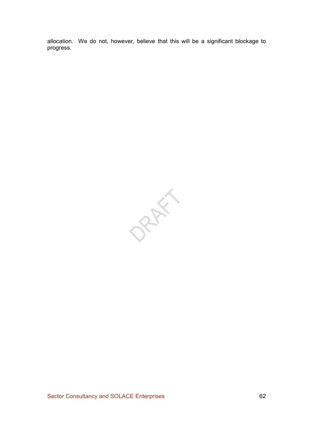allocation. We do not, however, believe that this will be a significant blockage to progress.

PRAIL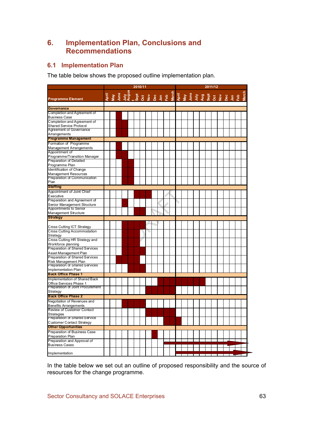# 6. Implementation Plan, Conclusions and Recommendations

# 6.1 Implementation Plan

The table below shows the proposed outline implementation plan.

|                                                                  |  |                                                                                                                                                                                                                                      |  | 2010/11 |  |  | 2011/12 |  |  |  |  |  |  |  |  |  |  |
|------------------------------------------------------------------|--|--------------------------------------------------------------------------------------------------------------------------------------------------------------------------------------------------------------------------------------|--|---------|--|--|---------|--|--|--|--|--|--|--|--|--|--|
| <b>Programme Element</b>                                         |  | ti a sua de 1920<br>A se - Sua de 1920 de 1920 de 1920 de 1920 de 1920 de 1920 de 1920 de 1920 de 1920 de 1920 de 1920<br>A se - Sua de 1920 de 1920 de 1920 de 1920 de 1920 de 1920 de 1920 de 1920 de 1920 de 1920 de 1920 de 1920 |  |         |  |  |         |  |  |  |  |  |  |  |  |  |  |
| <b>Governance</b>                                                |  |                                                                                                                                                                                                                                      |  |         |  |  |         |  |  |  |  |  |  |  |  |  |  |
| Completion and Agreement of                                      |  |                                                                                                                                                                                                                                      |  |         |  |  |         |  |  |  |  |  |  |  |  |  |  |
| <b>Business Case</b>                                             |  |                                                                                                                                                                                                                                      |  |         |  |  |         |  |  |  |  |  |  |  |  |  |  |
| Completion and Agreement of                                      |  |                                                                                                                                                                                                                                      |  |         |  |  |         |  |  |  |  |  |  |  |  |  |  |
| Shared Service Protocol                                          |  |                                                                                                                                                                                                                                      |  |         |  |  |         |  |  |  |  |  |  |  |  |  |  |
| Agreement of Governance                                          |  |                                                                                                                                                                                                                                      |  |         |  |  |         |  |  |  |  |  |  |  |  |  |  |
| Arrangements                                                     |  |                                                                                                                                                                                                                                      |  |         |  |  |         |  |  |  |  |  |  |  |  |  |  |
| <b>Programme Management</b>                                      |  |                                                                                                                                                                                                                                      |  |         |  |  |         |  |  |  |  |  |  |  |  |  |  |
| Formation of Programme                                           |  |                                                                                                                                                                                                                                      |  |         |  |  |         |  |  |  |  |  |  |  |  |  |  |
| <b>Management Arrangements</b>                                   |  |                                                                                                                                                                                                                                      |  |         |  |  |         |  |  |  |  |  |  |  |  |  |  |
| Appointment of                                                   |  |                                                                                                                                                                                                                                      |  |         |  |  |         |  |  |  |  |  |  |  |  |  |  |
| Programme/Transition Manager                                     |  |                                                                                                                                                                                                                                      |  |         |  |  |         |  |  |  |  |  |  |  |  |  |  |
| Preparation of Detailed                                          |  |                                                                                                                                                                                                                                      |  |         |  |  |         |  |  |  |  |  |  |  |  |  |  |
| Programme Plan                                                   |  |                                                                                                                                                                                                                                      |  |         |  |  |         |  |  |  |  |  |  |  |  |  |  |
| Identification of Change                                         |  |                                                                                                                                                                                                                                      |  |         |  |  |         |  |  |  |  |  |  |  |  |  |  |
| <b>Management Resources</b>                                      |  |                                                                                                                                                                                                                                      |  |         |  |  |         |  |  |  |  |  |  |  |  |  |  |
| Preparation of Communication                                     |  |                                                                                                                                                                                                                                      |  |         |  |  |         |  |  |  |  |  |  |  |  |  |  |
| Plan                                                             |  |                                                                                                                                                                                                                                      |  |         |  |  |         |  |  |  |  |  |  |  |  |  |  |
| <b>Staffing</b>                                                  |  |                                                                                                                                                                                                                                      |  |         |  |  |         |  |  |  |  |  |  |  |  |  |  |
| Appointment of Joint Chief                                       |  |                                                                                                                                                                                                                                      |  |         |  |  |         |  |  |  |  |  |  |  |  |  |  |
| Executive                                                        |  |                                                                                                                                                                                                                                      |  |         |  |  |         |  |  |  |  |  |  |  |  |  |  |
| Preparation and Agreement of                                     |  |                                                                                                                                                                                                                                      |  |         |  |  |         |  |  |  |  |  |  |  |  |  |  |
| Senior Management Structure                                      |  |                                                                                                                                                                                                                                      |  |         |  |  |         |  |  |  |  |  |  |  |  |  |  |
| Appointments to Senior                                           |  |                                                                                                                                                                                                                                      |  |         |  |  |         |  |  |  |  |  |  |  |  |  |  |
| Management Structure                                             |  |                                                                                                                                                                                                                                      |  |         |  |  |         |  |  |  |  |  |  |  |  |  |  |
| <b>Strategy</b>                                                  |  |                                                                                                                                                                                                                                      |  |         |  |  |         |  |  |  |  |  |  |  |  |  |  |
|                                                                  |  |                                                                                                                                                                                                                                      |  |         |  |  |         |  |  |  |  |  |  |  |  |  |  |
|                                                                  |  |                                                                                                                                                                                                                                      |  |         |  |  |         |  |  |  |  |  |  |  |  |  |  |
| Cross Cutting ICT Strategy<br><b>Cross Cutting Accommodation</b> |  |                                                                                                                                                                                                                                      |  |         |  |  |         |  |  |  |  |  |  |  |  |  |  |
|                                                                  |  |                                                                                                                                                                                                                                      |  |         |  |  |         |  |  |  |  |  |  |  |  |  |  |
| Strategy<br>Cross Cutting HR Strategy and                        |  |                                                                                                                                                                                                                                      |  |         |  |  |         |  |  |  |  |  |  |  |  |  |  |
|                                                                  |  |                                                                                                                                                                                                                                      |  |         |  |  |         |  |  |  |  |  |  |  |  |  |  |
| Workforce planning                                               |  |                                                                                                                                                                                                                                      |  |         |  |  |         |  |  |  |  |  |  |  |  |  |  |
| Preparation of Shared Services                                   |  |                                                                                                                                                                                                                                      |  |         |  |  |         |  |  |  |  |  |  |  |  |  |  |
| Asset Management Plan<br>Preparation of Shared Services          |  |                                                                                                                                                                                                                                      |  |         |  |  |         |  |  |  |  |  |  |  |  |  |  |
|                                                                  |  |                                                                                                                                                                                                                                      |  |         |  |  |         |  |  |  |  |  |  |  |  |  |  |
| Risk Management Plan<br>Preparation of Shared Services           |  |                                                                                                                                                                                                                                      |  |         |  |  |         |  |  |  |  |  |  |  |  |  |  |
| Implementation Plan                                              |  |                                                                                                                                                                                                                                      |  |         |  |  |         |  |  |  |  |  |  |  |  |  |  |
| <b>Back Office Phase 1</b>                                       |  |                                                                                                                                                                                                                                      |  |         |  |  |         |  |  |  |  |  |  |  |  |  |  |
|                                                                  |  |                                                                                                                                                                                                                                      |  |         |  |  |         |  |  |  |  |  |  |  |  |  |  |
| Implementation of Shared Back                                    |  |                                                                                                                                                                                                                                      |  |         |  |  |         |  |  |  |  |  |  |  |  |  |  |
| Office Services Phase 1<br>Preparation of Joint Procurement      |  |                                                                                                                                                                                                                                      |  |         |  |  |         |  |  |  |  |  |  |  |  |  |  |
| Strategy                                                         |  |                                                                                                                                                                                                                                      |  |         |  |  |         |  |  |  |  |  |  |  |  |  |  |
| <b>Back Office Phase 2</b>                                       |  |                                                                                                                                                                                                                                      |  |         |  |  |         |  |  |  |  |  |  |  |  |  |  |
|                                                                  |  |                                                                                                                                                                                                                                      |  |         |  |  |         |  |  |  |  |  |  |  |  |  |  |
| Negotiation of Revenues and                                      |  |                                                                                                                                                                                                                                      |  |         |  |  |         |  |  |  |  |  |  |  |  |  |  |
| <b>Benefits Arrangements</b>                                     |  |                                                                                                                                                                                                                                      |  |         |  |  |         |  |  |  |  |  |  |  |  |  |  |
| <b>Review of Customer Contact</b>                                |  |                                                                                                                                                                                                                                      |  |         |  |  |         |  |  |  |  |  |  |  |  |  |  |
| <b>Strategies</b>                                                |  |                                                                                                                                                                                                                                      |  |         |  |  |         |  |  |  |  |  |  |  |  |  |  |
| Preparation of Shared Service                                    |  |                                                                                                                                                                                                                                      |  |         |  |  |         |  |  |  |  |  |  |  |  |  |  |
| <b>Customer Contact Strategy</b>                                 |  |                                                                                                                                                                                                                                      |  |         |  |  |         |  |  |  |  |  |  |  |  |  |  |
| <b>Other Opportunities</b>                                       |  |                                                                                                                                                                                                                                      |  |         |  |  |         |  |  |  |  |  |  |  |  |  |  |
| Preparation of Business Case                                     |  |                                                                                                                                                                                                                                      |  |         |  |  |         |  |  |  |  |  |  |  |  |  |  |
| <b>Preparation Plan</b>                                          |  |                                                                                                                                                                                                                                      |  |         |  |  |         |  |  |  |  |  |  |  |  |  |  |
| Preparation and Approval of                                      |  |                                                                                                                                                                                                                                      |  |         |  |  |         |  |  |  |  |  |  |  |  |  |  |
| <b>Business Cases</b>                                            |  |                                                                                                                                                                                                                                      |  |         |  |  |         |  |  |  |  |  |  |  |  |  |  |
|                                                                  |  |                                                                                                                                                                                                                                      |  |         |  |  |         |  |  |  |  |  |  |  |  |  |  |
| Implementation                                                   |  |                                                                                                                                                                                                                                      |  |         |  |  |         |  |  |  |  |  |  |  |  |  |  |

In the table below we set out an outline of proposed responsibility and the source of resources for the change programme.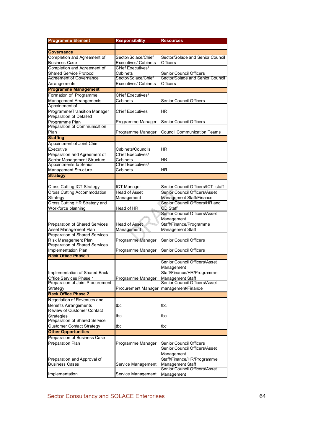| <b>Programme Element</b>                                | <b>Responsibility</b>       | <b>Resources</b>                         |
|---------------------------------------------------------|-----------------------------|------------------------------------------|
|                                                         |                             |                                          |
| <b>Governance</b>                                       |                             |                                          |
| Completion and Agreement of                             | Sector/Solace/Chief         | Sector/Solace and Senior Council         |
| <b>Business Case</b>                                    | Executives/ Cabinets        | Officers                                 |
| Completion and Agreement of                             | Chief Executives/           |                                          |
| <b>Shared Service Protocol</b>                          | Cabinets                    | Senior Council Officers                  |
| <b>Agreement of Governance</b>                          | Sector/Solace/Chief         | Sector/Solace and Senior Council         |
| Arrangements                                            | <b>Executives/ Cabinets</b> | Officers                                 |
| <b>Programme Management</b>                             |                             |                                          |
| Formation of Programme                                  | Chief Executives/           |                                          |
| Management Arrangements                                 | Cabinets                    | Senior Council Officers                  |
| Appointment of                                          |                             |                                          |
| Programme/Transition Manager                            | Chief Executives            | ΗR                                       |
| <b>Preparation of Detailed</b>                          |                             |                                          |
| Programme Plan<br>Preparation of Communication          | Programme Manager           | Senior Council Officers                  |
|                                                         |                             |                                          |
| Plan                                                    | Programme Manager           | Council Communication Teams              |
| <b>Staffing</b>                                         |                             |                                          |
| Appointment of Joint Chief                              |                             |                                          |
| Executive                                               | Cabinets/Councils           | ΗR                                       |
| Preparation and Agreement of                            | Chief Executives/           |                                          |
| Senior Management Structure<br>Appointments to Senior   | Cabinets                    | ΗR                                       |
|                                                         | Chief Executives/           |                                          |
| Management Structure                                    | Cabinets                    | ΗR                                       |
| <b>Strategy</b>                                         |                             |                                          |
|                                                         |                             |                                          |
| Cross Cutting ICT Strategy                              | ICT Manager                 | Senior Council Officers/ICT staff        |
| <b>Cross Cutting Accommodation</b>                      | <b>Head of Asset</b>        | Senior Council Officers/Asset            |
| Strategy                                                | Management                  | Management Staff/Finance                 |
| Cross Cutting HR Strategy and                           |                             | Senior Council Officers/HR and           |
| Workforce planning                                      | Head of HR                  | OD Staff                                 |
|                                                         |                             | Senior Council Officers/Asset            |
|                                                         |                             | Management                               |
| Preparation of Shared Services                          | Head of Asset               | Staff/Finance/Programme                  |
| Asset Management Plan<br>Preparation of Shared Services | Management                  | Management Staff                         |
| Risk Management Plan                                    |                             |                                          |
| Preparation of Shared Services                          | Programme Manager           | Senior Council Officers                  |
| Implementation Plan                                     | Programme Manager           | Senior Council Officers                  |
| <b>Back Office Phase 1</b>                              |                             |                                          |
|                                                         |                             | Senior Council Officers/Asset            |
|                                                         |                             |                                          |
| Implementation of Shared Back                           |                             | Management<br>Staff/Finance/HR/Programme |
| Office Services Phase 1                                 | Programme Manager           | Management Staff                         |
| Preparation of Joint Procurement                        |                             | Senior Council Officers/Asset            |
| Strategy                                                | <b>Procurement Manager</b>  | management/Finance                       |
| <b>Back Office Phase 2</b>                              |                             |                                          |
| Negotiation of Revenues and                             |                             |                                          |
| <b>Benefits Arrangements</b>                            | tbc                         | tbc                                      |
| Review of Customer Contact                              |                             |                                          |
| Strategies                                              | tbc                         | tbc                                      |
| Preparation of Shared Service                           |                             |                                          |
| <b>Customer Contact Strategy</b>                        | tbc                         | tbc                                      |
| <b>Other Opportunities</b>                              |                             |                                          |
| Preparation of Business Case                            |                             |                                          |
| Preparation Plan                                        | Programme Manager           | Senior Council Officers                  |
|                                                         |                             | Senior Council Officers/Asset            |
|                                                         |                             | Management                               |
| Preparation and Approval of                             |                             | Staff/Finance/HR/Programme               |
| <b>Business Cases</b>                                   | Service Management          | Management Staff                         |
|                                                         |                             | Senior Council Officers/Asset            |
| Implementation                                          | Service Management          | Management                               |